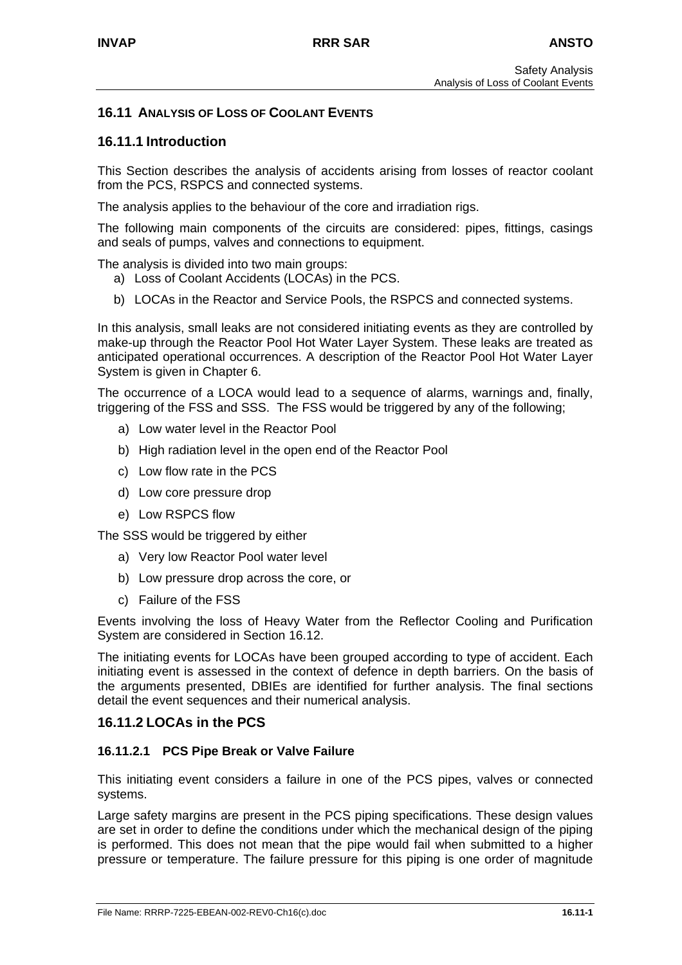# **16.11 ANALYSIS OF LOSS OF COOLANT EVENTS**

## **16.11.1 Introduction**

This Section describes the analysis of accidents arising from losses of reactor coolant from the PCS, RSPCS and connected systems.

The analysis applies to the behaviour of the core and irradiation rigs.

The following main components of the circuits are considered: pipes, fittings, casings and seals of pumps, valves and connections to equipment.

The analysis is divided into two main groups:

- a) Loss of Coolant Accidents (LOCAs) in the PCS.
- b) LOCAs in the Reactor and Service Pools, the RSPCS and connected systems.

In this analysis, small leaks are not considered initiating events as they are controlled by make-up through the Reactor Pool Hot Water Layer System. These leaks are treated as anticipated operational occurrences. A description of the Reactor Pool Hot Water Layer System is given in Chapter 6.

The occurrence of a LOCA would lead to a sequence of alarms, warnings and, finally, triggering of the FSS and SSS. The FSS would be triggered by any of the following;

- a) Low water level in the Reactor Pool
- b) High radiation level in the open end of the Reactor Pool
- c) Low flow rate in the PCS
- d) Low core pressure drop
- e) Low RSPCS flow

The SSS would be triggered by either

- a) Very low Reactor Pool water level
- b) Low pressure drop across the core, or
- c) Failure of the FSS

Events involving the loss of Heavy Water from the Reflector Cooling and Purification System are considered in Section 16.12.

The initiating events for LOCAs have been grouped according to type of accident. Each initiating event is assessed in the context of defence in depth barriers. On the basis of the arguments presented, DBIEs are identified for further analysis. The final sections detail the event sequences and their numerical analysis.

#### **16.11.2 LOCAs in the PCS**

#### **16.11.2.1 PCS Pipe Break or Valve Failure**

This initiating event considers a failure in one of the PCS pipes, valves or connected systems.

Large safety margins are present in the PCS piping specifications. These design values are set in order to define the conditions under which the mechanical design of the piping is performed. This does not mean that the pipe would fail when submitted to a higher pressure or temperature. The failure pressure for this piping is one order of magnitude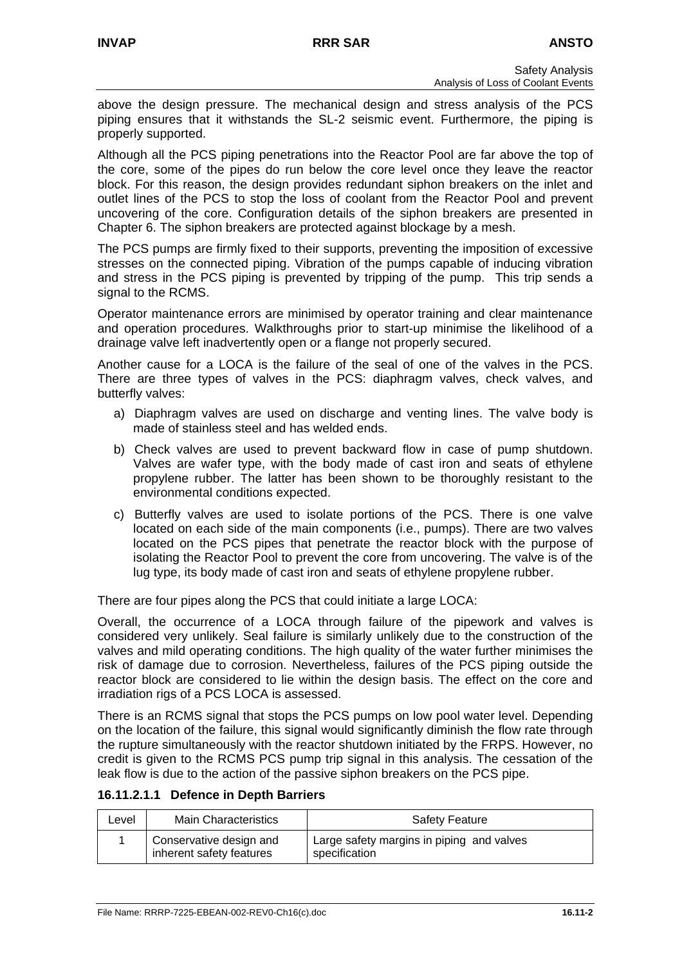above the design pressure. The mechanical design and stress analysis of the PCS piping ensures that it withstands the SL-2 seismic event. Furthermore, the piping is properly supported.

Although all the PCS piping penetrations into the Reactor Pool are far above the top of the core, some of the pipes do run below the core level once they leave the reactor block. For this reason, the design provides redundant siphon breakers on the inlet and outlet lines of the PCS to stop the loss of coolant from the Reactor Pool and prevent uncovering of the core. Configuration details of the siphon breakers are presented in Chapter 6. The siphon breakers are protected against blockage by a mesh.

The PCS pumps are firmly fixed to their supports, preventing the imposition of excessive stresses on the connected piping. Vibration of the pumps capable of inducing vibration and stress in the PCS piping is prevented by tripping of the pump. This trip sends a signal to the RCMS.

Operator maintenance errors are minimised by operator training and clear maintenance and operation procedures. Walkthroughs prior to start-up minimise the likelihood of a drainage valve left inadvertently open or a flange not properly secured.

Another cause for a LOCA is the failure of the seal of one of the valves in the PCS. There are three types of valves in the PCS: diaphragm valves, check valves, and butterfly valves:

- a) Diaphragm valves are used on discharge and venting lines. The valve body is made of stainless steel and has welded ends.
- b) Check valves are used to prevent backward flow in case of pump shutdown. Valves are wafer type, with the body made of cast iron and seats of ethylene propylene rubber. The latter has been shown to be thoroughly resistant to the environmental conditions expected.
- c) Butterfly valves are used to isolate portions of the PCS. There is one valve located on each side of the main components (i.e., pumps). There are two valves located on the PCS pipes that penetrate the reactor block with the purpose of isolating the Reactor Pool to prevent the core from uncovering. The valve is of the lug type, its body made of cast iron and seats of ethylene propylene rubber.

There are four pipes along the PCS that could initiate a large LOCA:

Overall, the occurrence of a LOCA through failure of the pipework and valves is considered very unlikely. Seal failure is similarly unlikely due to the construction of the valves and mild operating conditions. The high quality of the water further minimises the risk of damage due to corrosion. Nevertheless, failures of the PCS piping outside the reactor block are considered to lie within the design basis. The effect on the core and irradiation rigs of a PCS LOCA is assessed.

There is an RCMS signal that stops the PCS pumps on low pool water level. Depending on the location of the failure, this signal would significantly diminish the flow rate through the rupture simultaneously with the reactor shutdown initiated by the FRPS. However, no credit is given to the RCMS PCS pump trip signal in this analysis. The cessation of the leak flow is due to the action of the passive siphon breakers on the PCS pipe.

**16.11.2.1.1 Defence in Depth Barriers** 

| Level | <b>Main Characteristics</b>                         | <b>Safety Feature</b>                                      |
|-------|-----------------------------------------------------|------------------------------------------------------------|
|       | Conservative design and<br>inherent safety features | Large safety margins in piping and valves<br>specification |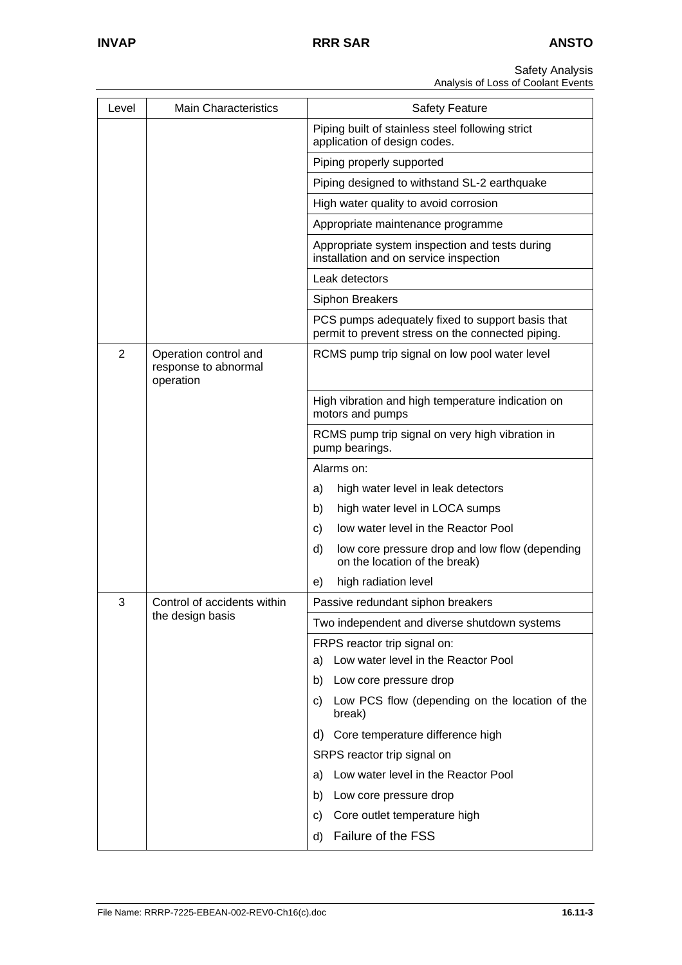| Level          | <b>Main Characteristics</b>                                | <b>Safety Feature</b>                                                                                 |
|----------------|------------------------------------------------------------|-------------------------------------------------------------------------------------------------------|
|                |                                                            | Piping built of stainless steel following strict<br>application of design codes.                      |
|                |                                                            | Piping properly supported                                                                             |
|                |                                                            | Piping designed to withstand SL-2 earthquake                                                          |
|                |                                                            | High water quality to avoid corrosion                                                                 |
|                |                                                            | Appropriate maintenance programme                                                                     |
|                |                                                            | Appropriate system inspection and tests during<br>installation and on service inspection              |
|                |                                                            | Leak detectors                                                                                        |
|                |                                                            | Siphon Breakers                                                                                       |
|                |                                                            | PCS pumps adequately fixed to support basis that<br>permit to prevent stress on the connected piping. |
| $\overline{2}$ | Operation control and<br>response to abnormal<br>operation | RCMS pump trip signal on low pool water level                                                         |
|                |                                                            | High vibration and high temperature indication on<br>motors and pumps                                 |
|                |                                                            | RCMS pump trip signal on very high vibration in<br>pump bearings.                                     |
|                |                                                            | Alarms on:                                                                                            |
|                |                                                            | high water level in leak detectors<br>a)                                                              |
|                |                                                            | high water level in LOCA sumps<br>b)                                                                  |
|                |                                                            | low water level in the Reactor Pool<br>C)                                                             |
|                |                                                            | d)<br>low core pressure drop and low flow (depending<br>on the location of the break)                 |
|                |                                                            | high radiation level<br>e)                                                                            |
| 3              | Control of accidents within                                | Passive redundant siphon breakers                                                                     |
|                | the design basis                                           | Two independent and diverse shutdown systems                                                          |
|                |                                                            | FRPS reactor trip signal on:                                                                          |
|                |                                                            | Low water level in the Reactor Pool<br>a)                                                             |
|                |                                                            | Low core pressure drop<br>b)                                                                          |
|                |                                                            | Low PCS flow (depending on the location of the<br>C)<br>break)                                        |
|                |                                                            | d) Core temperature difference high                                                                   |
|                |                                                            | SRPS reactor trip signal on                                                                           |
|                |                                                            | Low water level in the Reactor Pool<br>a)                                                             |
|                |                                                            | Low core pressure drop<br>b)                                                                          |
|                |                                                            | Core outlet temperature high<br>C)                                                                    |
|                |                                                            | Failure of the FSS<br>d)                                                                              |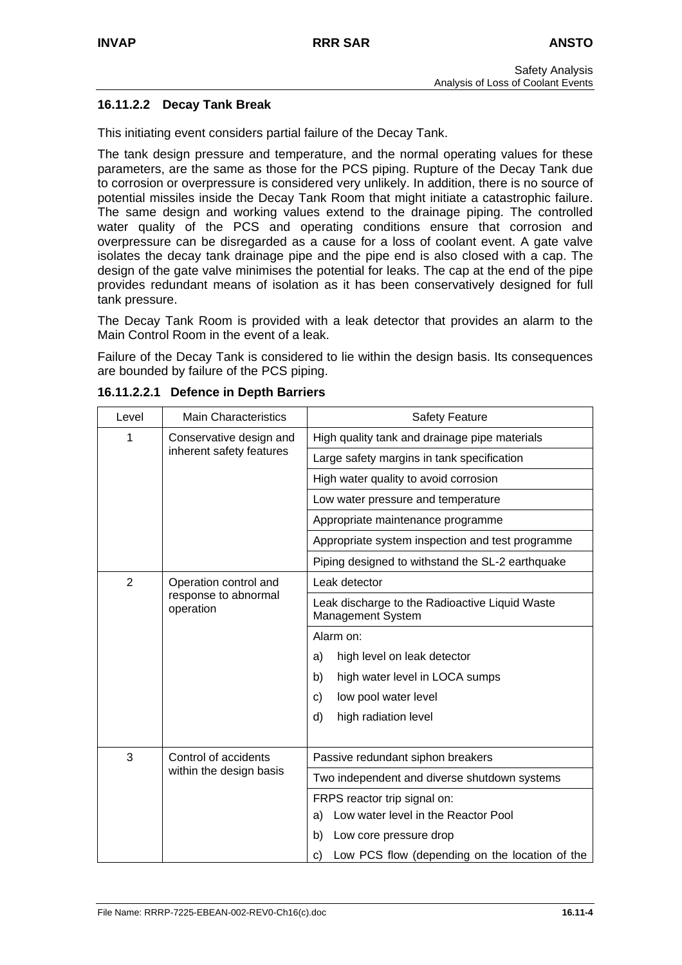# **16.11.2.2 Decay Tank Break**

This initiating event considers partial failure of the Decay Tank.

The tank design pressure and temperature, and the normal operating values for these parameters, are the same as those for the PCS piping. Rupture of the Decay Tank due to corrosion or overpressure is considered very unlikely. In addition, there is no source of potential missiles inside the Decay Tank Room that might initiate a catastrophic failure. The same design and working values extend to the drainage piping. The controlled water quality of the PCS and operating conditions ensure that corrosion and overpressure can be disregarded as a cause for a loss of coolant event. A gate valve isolates the decay tank drainage pipe and the pipe end is also closed with a cap. The design of the gate valve minimises the potential for leaks. The cap at the end of the pipe provides redundant means of isolation as it has been conservatively designed for full tank pressure.

The Decay Tank Room is provided with a leak detector that provides an alarm to the Main Control Room in the event of a leak.

Failure of the Decay Tank is considered to lie within the design basis. Its consequences are bounded by failure of the PCS piping.

| Level          | <b>Main Characteristics</b>                         | <b>Safety Feature</b>                                               |
|----------------|-----------------------------------------------------|---------------------------------------------------------------------|
| 1              | Conservative design and<br>inherent safety features | High quality tank and drainage pipe materials                       |
|                |                                                     | Large safety margins in tank specification                          |
|                |                                                     | High water quality to avoid corrosion                               |
|                |                                                     | Low water pressure and temperature                                  |
|                |                                                     | Appropriate maintenance programme                                   |
|                |                                                     | Appropriate system inspection and test programme                    |
|                |                                                     | Piping designed to withstand the SL-2 earthquake                    |
| $\overline{2}$ | Operation control and                               | Leak detector                                                       |
|                | response to abnormal<br>operation                   | Leak discharge to the Radioactive Liquid Waste<br>Management System |
|                |                                                     | Alarm on:                                                           |
|                |                                                     | high level on leak detector<br>a)                                   |
|                |                                                     | high water level in LOCA sumps<br>b)                                |
|                |                                                     | low pool water level<br>C)                                          |
|                |                                                     | high radiation level<br>d)                                          |
|                |                                                     |                                                                     |
| 3              | Control of accidents<br>within the design basis     | Passive redundant siphon breakers                                   |
|                |                                                     | Two independent and diverse shutdown systems                        |
|                |                                                     | FRPS reactor trip signal on:                                        |
|                |                                                     | Low water level in the Reactor Pool<br>a)                           |
|                |                                                     | Low core pressure drop<br>b)                                        |
|                |                                                     | Low PCS flow (depending on the location of the<br>C)                |

**16.11.2.2.1 Defence in Depth Barriers**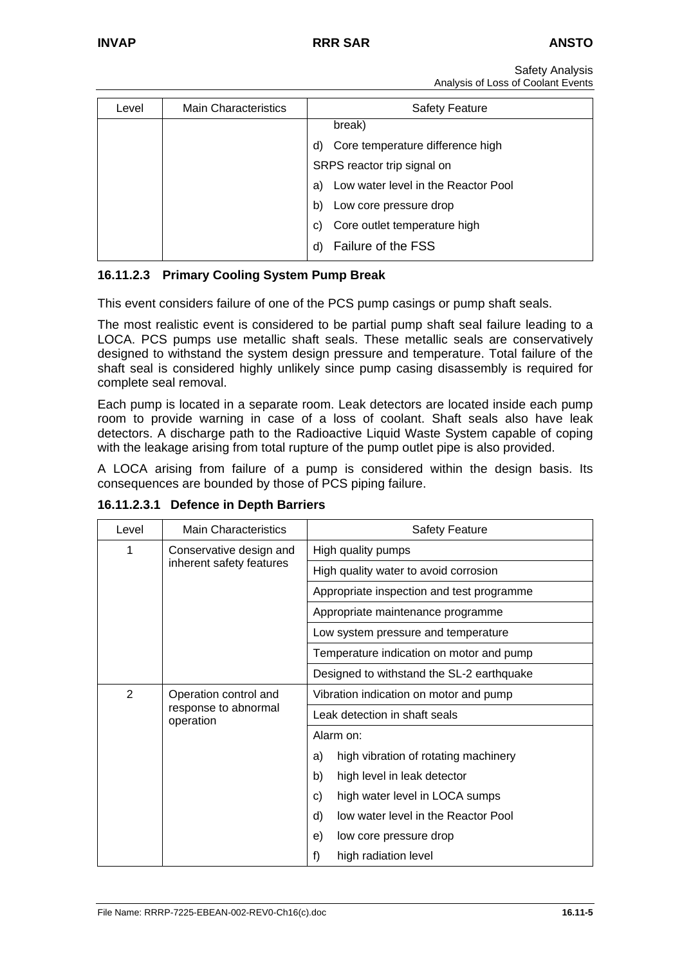| Level | <b>Main Characteristics</b> | <b>Safety Feature</b>                     |
|-------|-----------------------------|-------------------------------------------|
|       |                             | break)                                    |
|       |                             | Core temperature difference high<br>d)    |
|       |                             | SRPS reactor trip signal on               |
|       |                             | Low water level in the Reactor Pool<br>a) |
|       |                             | Low core pressure drop<br>b)              |
|       |                             | Core outlet temperature high<br>C)        |
|       |                             | Failure of the FSS                        |

# **16.11.2.3 Primary Cooling System Pump Break**

This event considers failure of one of the PCS pump casings or pump shaft seals.

The most realistic event is considered to be partial pump shaft seal failure leading to a LOCA. PCS pumps use metallic shaft seals. These metallic seals are conservatively designed to withstand the system design pressure and temperature. Total failure of the shaft seal is considered highly unlikely since pump casing disassembly is required for complete seal removal.

Each pump is located in a separate room. Leak detectors are located inside each pump room to provide warning in case of a loss of coolant. Shaft seals also have leak detectors. A discharge path to the Radioactive Liquid Waste System capable of coping with the leakage arising from total rupture of the pump outlet pipe is also provided.

A LOCA arising from failure of a pump is considered within the design basis. Its consequences are bounded by those of PCS piping failure.

| Level          | <b>Main Characteristics</b>                                | <b>Safety Feature</b>                      |
|----------------|------------------------------------------------------------|--------------------------------------------|
| 1              | Conservative design and<br>inherent safety features        | High quality pumps                         |
|                |                                                            | High quality water to avoid corrosion      |
|                |                                                            | Appropriate inspection and test programme  |
|                |                                                            | Appropriate maintenance programme          |
|                |                                                            | Low system pressure and temperature        |
|                |                                                            | Temperature indication on motor and pump   |
|                |                                                            | Designed to withstand the SL-2 earthquake  |
| $\overline{2}$ | Operation control and<br>response to abnormal<br>operation | Vibration indication on motor and pump     |
|                |                                                            | Leak detection in shaft seals              |
|                |                                                            | Alarm on:                                  |
|                |                                                            | high vibration of rotating machinery<br>a) |
|                |                                                            | high level in leak detector<br>b)          |
|                |                                                            | high water level in LOCA sumps<br>C)       |
|                |                                                            | low water level in the Reactor Pool<br>d)  |
|                |                                                            | e)<br>low core pressure drop               |
|                |                                                            | f)<br>high radiation level                 |

**16.11.2.3.1 Defence in Depth Barriers**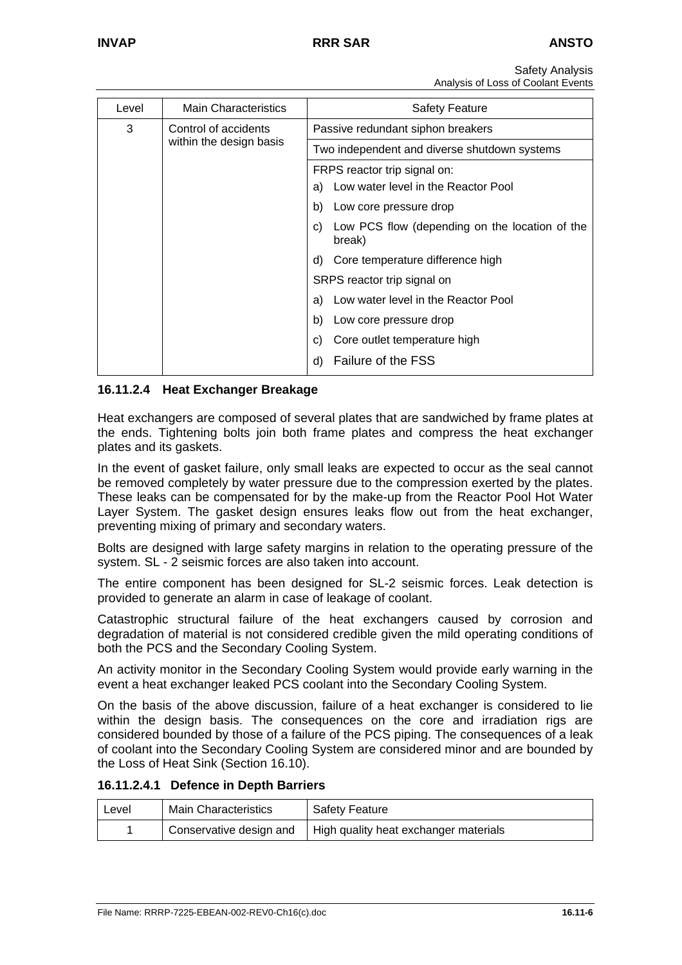| Level | <b>Main Characteristics</b> | <b>Safety Feature</b>                                                     |
|-------|-----------------------------|---------------------------------------------------------------------------|
| 3     | Control of accidents        | Passive redundant siphon breakers                                         |
|       | within the design basis     | Two independent and diverse shutdown systems                              |
|       |                             | FRPS reactor trip signal on:<br>Low water level in the Reactor Pool<br>a) |
|       |                             | Low core pressure drop<br>b)                                              |
|       |                             | Low PCS flow (depending on the location of the<br>C)<br>break)            |
|       |                             | d) Core temperature difference high                                       |
|       |                             | SRPS reactor trip signal on                                               |
|       |                             | Low water level in the Reactor Pool<br>a)                                 |
|       |                             | Low core pressure drop<br>b)                                              |
|       |                             | Core outlet temperature high<br>C)                                        |
|       |                             | Failure of the FSS<br>d)                                                  |

# **16.11.2.4 Heat Exchanger Breakage**

Heat exchangers are composed of several plates that are sandwiched by frame plates at the ends. Tightening bolts join both frame plates and compress the heat exchanger plates and its gaskets.

In the event of gasket failure, only small leaks are expected to occur as the seal cannot be removed completely by water pressure due to the compression exerted by the plates. These leaks can be compensated for by the make-up from the Reactor Pool Hot Water Layer System. The gasket design ensures leaks flow out from the heat exchanger, preventing mixing of primary and secondary waters.

Bolts are designed with large safety margins in relation to the operating pressure of the system. SL - 2 seismic forces are also taken into account.

The entire component has been designed for SL-2 seismic forces. Leak detection is provided to generate an alarm in case of leakage of coolant.

Catastrophic structural failure of the heat exchangers caused by corrosion and degradation of material is not considered credible given the mild operating conditions of both the PCS and the Secondary Cooling System.

An activity monitor in the Secondary Cooling System would provide early warning in the event a heat exchanger leaked PCS coolant into the Secondary Cooling System.

On the basis of the above discussion, failure of a heat exchanger is considered to lie within the design basis. The consequences on the core and irradiation rigs are considered bounded by those of a failure of the PCS piping. The consequences of a leak of coolant into the Secondary Cooling System are considered minor and are bounded by the Loss of Heat Sink (Section 16.10).

#### **16.11.2.4.1 Defence in Depth Barriers**

| Level | <b>Main Characteristics</b> | <b>Safety Feature</b>                                           |
|-------|-----------------------------|-----------------------------------------------------------------|
|       |                             | Conservative design and   High quality heat exchanger materials |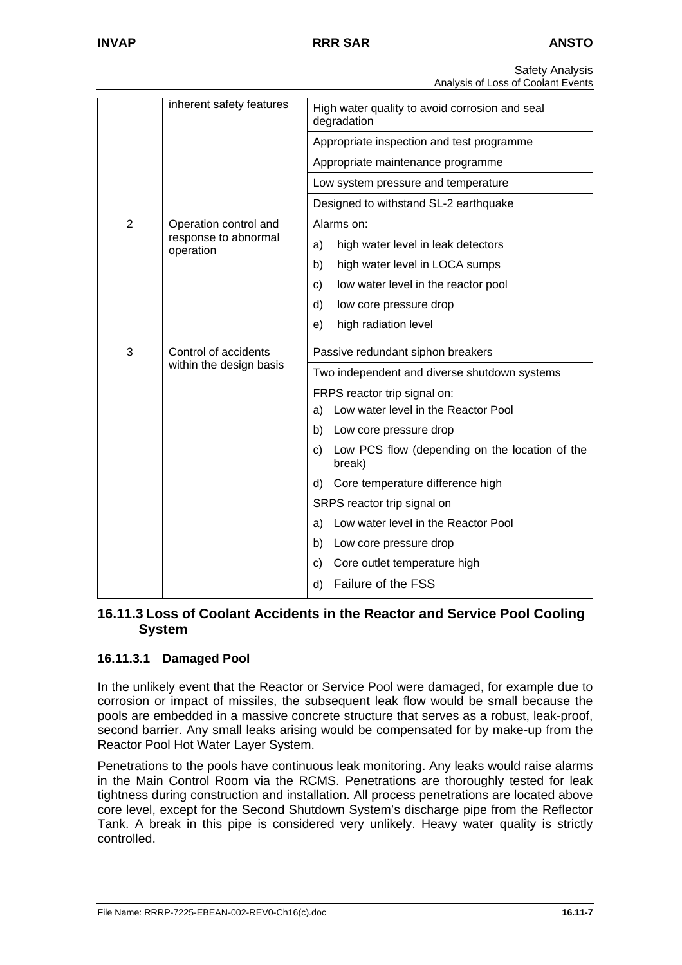|                | inherent safety features          | High water quality to avoid corrosion and seal<br>degradation  |
|----------------|-----------------------------------|----------------------------------------------------------------|
|                |                                   | Appropriate inspection and test programme                      |
|                |                                   | Appropriate maintenance programme                              |
|                |                                   | Low system pressure and temperature                            |
|                |                                   | Designed to withstand SL-2 earthquake                          |
| $\overline{2}$ | Operation control and             | Alarms on:                                                     |
|                | response to abnormal<br>operation | high water level in leak detectors<br>a)                       |
|                |                                   | high water level in LOCA sumps<br>b)                           |
|                |                                   | low water level in the reactor pool<br>c)                      |
|                |                                   | d)<br>low core pressure drop                                   |
|                |                                   | high radiation level<br>e)                                     |
| 3              | Control of accidents              | Passive redundant siphon breakers                              |
|                | within the design basis           | Two independent and diverse shutdown systems                   |
|                |                                   | FRPS reactor trip signal on:                                   |
|                |                                   | a) Low water level in the Reactor Pool                         |
|                |                                   | b) Low core pressure drop                                      |
|                |                                   | Low PCS flow (depending on the location of the<br>C)<br>break) |
|                |                                   | d) Core temperature difference high                            |
|                |                                   | SRPS reactor trip signal on                                    |
|                |                                   | Low water level in the Reactor Pool<br>a)                      |
|                |                                   | Low core pressure drop<br>b)                                   |
|                |                                   | Core outlet temperature high<br>C)                             |
|                |                                   | Failure of the FSS<br>d)                                       |

# **16.11.3 Loss of Coolant Accidents in the Reactor and Service Pool Cooling System**

# **16.11.3.1 Damaged Pool**

In the unlikely event that the Reactor or Service Pool were damaged, for example due to corrosion or impact of missiles, the subsequent leak flow would be small because the pools are embedded in a massive concrete structure that serves as a robust, leak-proof, second barrier. Any small leaks arising would be compensated for by make-up from the Reactor Pool Hot Water Layer System.

Penetrations to the pools have continuous leak monitoring. Any leaks would raise alarms in the Main Control Room via the RCMS. Penetrations are thoroughly tested for leak tightness during construction and installation. All process penetrations are located above core level, except for the Second Shutdown System's discharge pipe from the Reflector Tank. A break in this pipe is considered very unlikely. Heavy water quality is strictly controlled.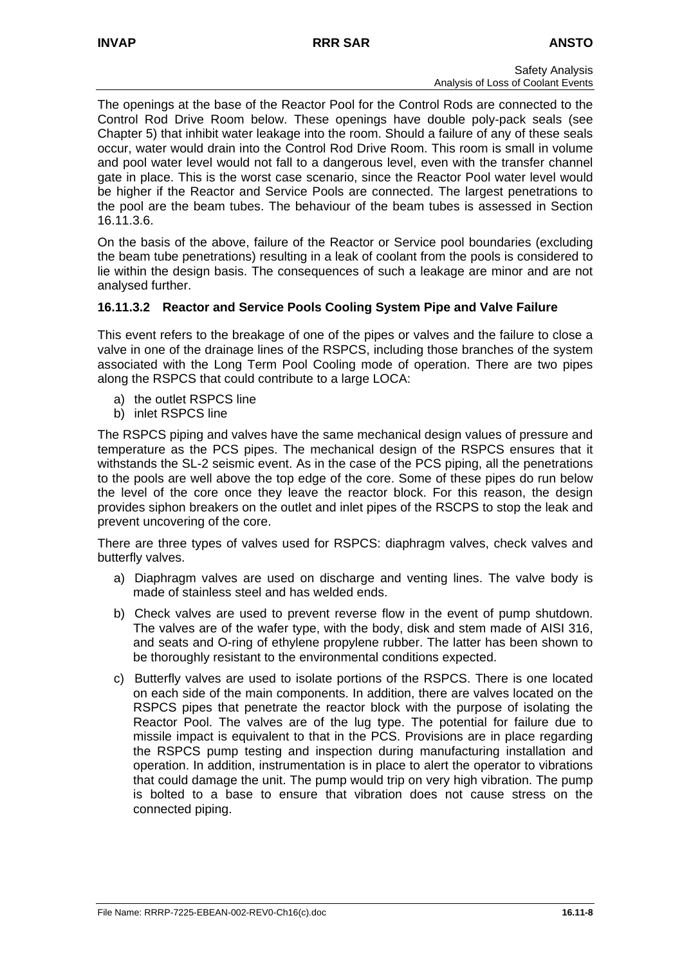The openings at the base of the Reactor Pool for the Control Rods are connected to the Control Rod Drive Room below. These openings have double poly-pack seals (see Chapter 5) that inhibit water leakage into the room. Should a failure of any of these seals occur, water would drain into the Control Rod Drive Room. This room is small in volume and pool water level would not fall to a dangerous level, even with the transfer channel gate in place. This is the worst case scenario, since the Reactor Pool water level would be higher if the Reactor and Service Pools are connected. The largest penetrations to the pool are the beam tubes. The behaviour of the beam tubes is assessed in Section 16.11.3.6.

On the basis of the above, failure of the Reactor or Service pool boundaries (excluding the beam tube penetrations) resulting in a leak of coolant from the pools is considered to lie within the design basis. The consequences of such a leakage are minor and are not analysed further.

# **16.11.3.2 Reactor and Service Pools Cooling System Pipe and Valve Failure**

This event refers to the breakage of one of the pipes or valves and the failure to close a valve in one of the drainage lines of the RSPCS, including those branches of the system associated with the Long Term Pool Cooling mode of operation. There are two pipes along the RSPCS that could contribute to a large LOCA:

- a) the outlet RSPCS line
- b) inlet RSPCS line

The RSPCS piping and valves have the same mechanical design values of pressure and temperature as the PCS pipes. The mechanical design of the RSPCS ensures that it withstands the SL-2 seismic event. As in the case of the PCS piping, all the penetrations to the pools are well above the top edge of the core. Some of these pipes do run below the level of the core once they leave the reactor block. For this reason, the design provides siphon breakers on the outlet and inlet pipes of the RSCPS to stop the leak and prevent uncovering of the core.

There are three types of valves used for RSPCS: diaphragm valves, check valves and butterfly valves.

- a) Diaphragm valves are used on discharge and venting lines. The valve body is made of stainless steel and has welded ends.
- b) Check valves are used to prevent reverse flow in the event of pump shutdown. The valves are of the wafer type, with the body, disk and stem made of AISI 316, and seats and O-ring of ethylene propylene rubber. The latter has been shown to be thoroughly resistant to the environmental conditions expected.
- c) Butterfly valves are used to isolate portions of the RSPCS. There is one located on each side of the main components. In addition, there are valves located on the RSPCS pipes that penetrate the reactor block with the purpose of isolating the Reactor Pool. The valves are of the lug type. The potential for failure due to missile impact is equivalent to that in the PCS. Provisions are in place regarding the RSPCS pump testing and inspection during manufacturing installation and operation. In addition, instrumentation is in place to alert the operator to vibrations that could damage the unit. The pump would trip on very high vibration. The pump is bolted to a base to ensure that vibration does not cause stress on the connected piping.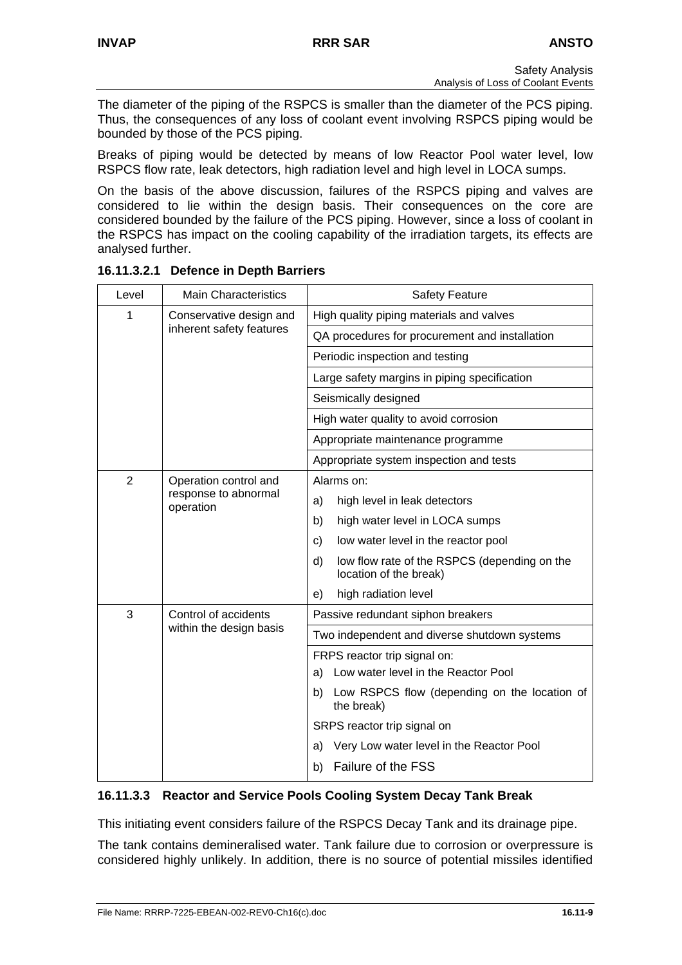The diameter of the piping of the RSPCS is smaller than the diameter of the PCS piping. Thus, the consequences of any loss of coolant event involving RSPCS piping would be bounded by those of the PCS piping.

Breaks of piping would be detected by means of low Reactor Pool water level, low RSPCS flow rate, leak detectors, high radiation level and high level in LOCA sumps.

On the basis of the above discussion, failures of the RSPCS piping and valves are considered to lie within the design basis. Their consequences on the core are considered bounded by the failure of the PCS piping. However, since a loss of coolant in the RSPCS has impact on the cooling capability of the irradiation targets, its effects are analysed further.

| Level | <b>Main Characteristics</b>                         | <b>Safety Feature</b>                                                        |
|-------|-----------------------------------------------------|------------------------------------------------------------------------------|
| 1     | Conservative design and<br>inherent safety features | High quality piping materials and valves                                     |
|       |                                                     | QA procedures for procurement and installation                               |
|       |                                                     | Periodic inspection and testing                                              |
|       |                                                     | Large safety margins in piping specification                                 |
|       |                                                     | Seismically designed                                                         |
|       |                                                     | High water quality to avoid corrosion                                        |
|       |                                                     | Appropriate maintenance programme                                            |
|       |                                                     | Appropriate system inspection and tests                                      |
| 2     | Operation control and                               | Alarms on:                                                                   |
|       | response to abnormal<br>operation                   | high level in leak detectors<br>a)                                           |
|       |                                                     | high water level in LOCA sumps<br>b)                                         |
|       |                                                     | low water level in the reactor pool<br>c)                                    |
|       |                                                     | d)<br>low flow rate of the RSPCS (depending on the<br>location of the break) |
|       |                                                     | high radiation level<br>e)                                                   |
| 3     | Control of accidents<br>within the design basis     | Passive redundant siphon breakers                                            |
|       |                                                     | Two independent and diverse shutdown systems                                 |
|       |                                                     | FRPS reactor trip signal on:                                                 |
|       |                                                     | a) Low water level in the Reactor Pool                                       |
|       |                                                     | Low RSPCS flow (depending on the location of<br>b)<br>the break)             |
|       |                                                     | SRPS reactor trip signal on                                                  |
|       |                                                     | Very Low water level in the Reactor Pool<br>a)                               |
|       |                                                     | Failure of the FSS<br>b)                                                     |

# **16.11.3.2.1 Defence in Depth Barriers**

# **16.11.3.3 Reactor and Service Pools Cooling System Decay Tank Break**

This initiating event considers failure of the RSPCS Decay Tank and its drainage pipe.

The tank contains demineralised water. Tank failure due to corrosion or overpressure is considered highly unlikely. In addition, there is no source of potential missiles identified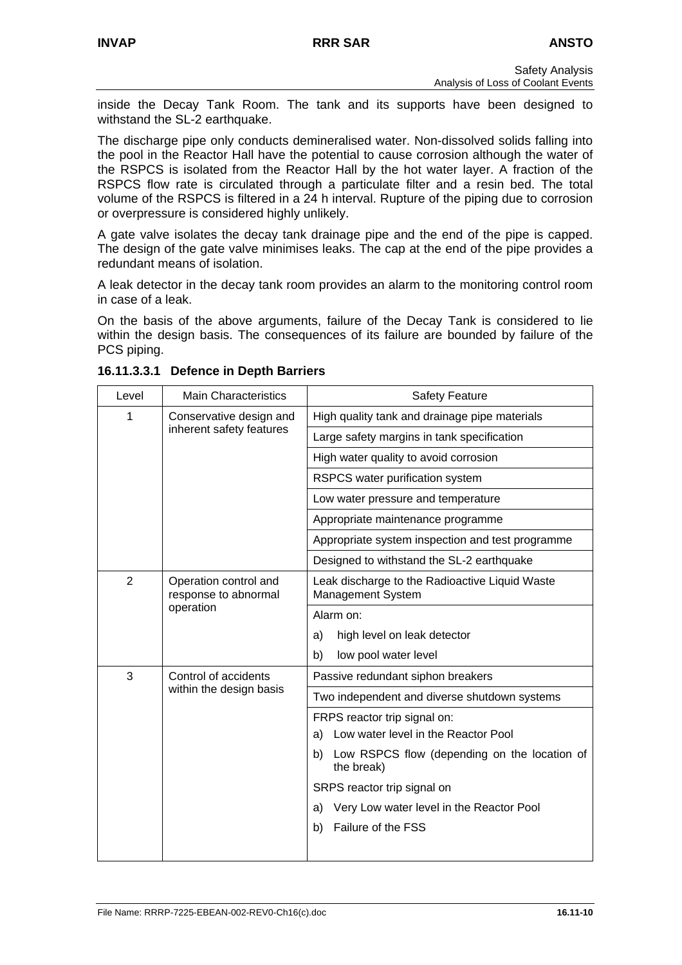inside the Decay Tank Room. The tank and its supports have been designed to withstand the SL-2 earthquake.

The discharge pipe only conducts demineralised water. Non-dissolved solids falling into the pool in the Reactor Hall have the potential to cause corrosion although the water of the RSPCS is isolated from the Reactor Hall by the hot water layer. A fraction of the RSPCS flow rate is circulated through a particulate filter and a resin bed. The total volume of the RSPCS is filtered in a 24 h interval. Rupture of the piping due to corrosion or overpressure is considered highly unlikely.

A gate valve isolates the decay tank drainage pipe and the end of the pipe is capped. The design of the gate valve minimises leaks. The cap at the end of the pipe provides a redundant means of isolation.

A leak detector in the decay tank room provides an alarm to the monitoring control room in case of a leak.

On the basis of the above arguments, failure of the Decay Tank is considered to lie within the design basis. The consequences of its failure are bounded by failure of the PCS piping.

| Level          | <b>Main Characteristics</b>                                | <b>Safety Feature</b>                                               |
|----------------|------------------------------------------------------------|---------------------------------------------------------------------|
| 1              | Conservative design and<br>inherent safety features        | High quality tank and drainage pipe materials                       |
|                |                                                            | Large safety margins in tank specification                          |
|                |                                                            | High water quality to avoid corrosion                               |
|                |                                                            | RSPCS water purification system                                     |
|                |                                                            | Low water pressure and temperature                                  |
|                |                                                            | Appropriate maintenance programme                                   |
|                |                                                            | Appropriate system inspection and test programme                    |
|                |                                                            | Designed to withstand the SL-2 earthquake                           |
| $\overline{2}$ | Operation control and<br>response to abnormal<br>operation | Leak discharge to the Radioactive Liquid Waste<br>Management System |
|                |                                                            | Alarm on:                                                           |
|                |                                                            | high level on leak detector<br>a)                                   |
|                |                                                            | low pool water level<br>b)                                          |
| 3              | Control of accidents<br>within the design basis            | Passive redundant siphon breakers                                   |
|                |                                                            | Two independent and diverse shutdown systems                        |
|                |                                                            | FRPS reactor trip signal on:                                        |
|                |                                                            | a) Low water level in the Reactor Pool                              |
|                |                                                            | b) Low RSPCS flow (depending on the location of<br>the break)       |
|                |                                                            | SRPS reactor trip signal on                                         |
|                |                                                            | Very Low water level in the Reactor Pool<br>a)                      |
|                |                                                            | Failure of the FSS<br>b)                                            |
|                |                                                            |                                                                     |

**16.11.3.3.1 Defence in Depth Barriers**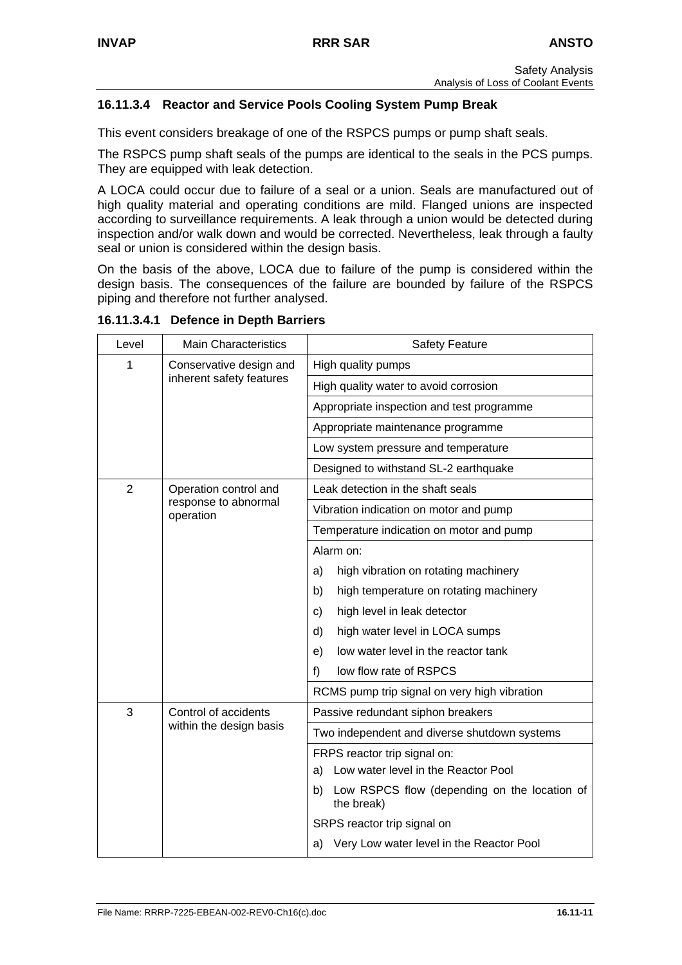# **16.11.3.4 Reactor and Service Pools Cooling System Pump Break**

This event considers breakage of one of the RSPCS pumps or pump shaft seals.

The RSPCS pump shaft seals of the pumps are identical to the seals in the PCS pumps. They are equipped with leak detection.

A LOCA could occur due to failure of a seal or a union. Seals are manufactured out of high quality material and operating conditions are mild. Flanged unions are inspected according to surveillance requirements. A leak through a union would be detected during inspection and/or walk down and would be corrected. Nevertheless, leak through a faulty seal or union is considered within the design basis.

On the basis of the above, LOCA due to failure of the pump is considered within the design basis. The consequences of the failure are bounded by failure of the RSPCS piping and therefore not further analysed.

**16.11.3.4.1 Defence in Depth Barriers** 

| Level          | <b>Main Characteristics</b>                         | <b>Safety Feature</b>                                         |
|----------------|-----------------------------------------------------|---------------------------------------------------------------|
| 1              | Conservative design and<br>inherent safety features | High quality pumps                                            |
|                |                                                     | High quality water to avoid corrosion                         |
|                |                                                     | Appropriate inspection and test programme                     |
|                |                                                     | Appropriate maintenance programme                             |
|                |                                                     | Low system pressure and temperature                           |
|                |                                                     | Designed to withstand SL-2 earthquake                         |
| $\overline{2}$ | Operation control and                               | Leak detection in the shaft seals                             |
|                | response to abnormal<br>operation                   | Vibration indication on motor and pump                        |
|                |                                                     | Temperature indication on motor and pump                      |
|                |                                                     | Alarm on:                                                     |
|                |                                                     | high vibration on rotating machinery<br>a)                    |
|                |                                                     | b)<br>high temperature on rotating machinery                  |
|                |                                                     | high level in leak detector<br>C)                             |
|                |                                                     | high water level in LOCA sumps<br>d)                          |
|                |                                                     | low water level in the reactor tank<br>e)                     |
|                |                                                     | low flow rate of RSPCS<br>f)                                  |
|                |                                                     | RCMS pump trip signal on very high vibration                  |
| 3              | Control of accidents<br>within the design basis     | Passive redundant siphon breakers                             |
|                |                                                     | Two independent and diverse shutdown systems                  |
|                |                                                     | FRPS reactor trip signal on:                                  |
|                |                                                     | a) Low water level in the Reactor Pool                        |
|                |                                                     | b) Low RSPCS flow (depending on the location of<br>the break) |
|                |                                                     | SRPS reactor trip signal on                                   |
|                |                                                     | a) Very Low water level in the Reactor Pool                   |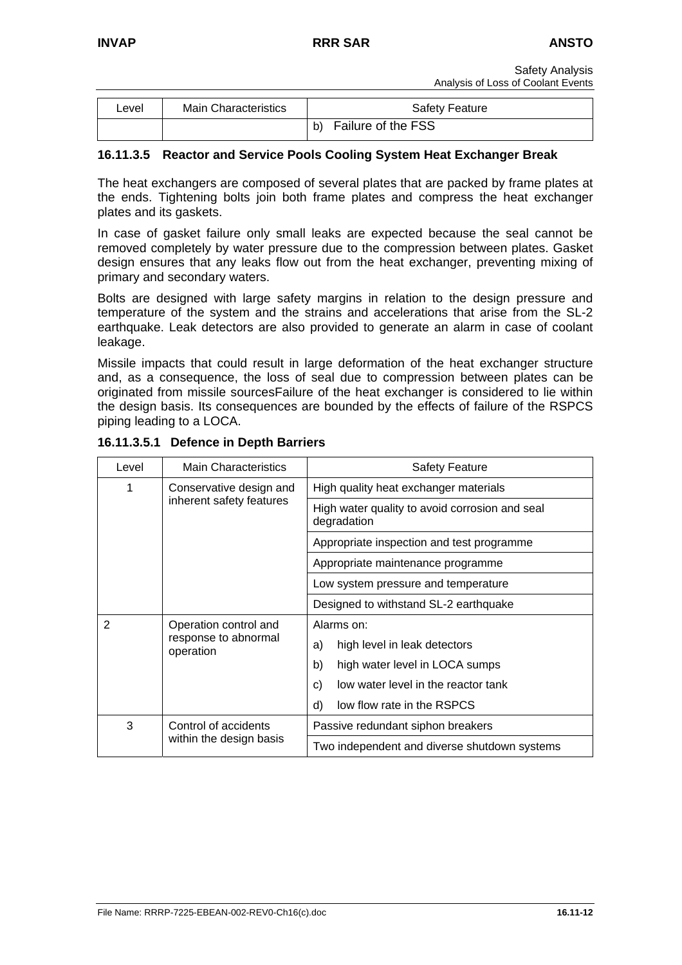| Level | <b>Main Characteristics</b> | <b>Safety Feature</b>    |
|-------|-----------------------------|--------------------------|
|       |                             | Failure of the FSS<br>b) |

# **16.11.3.5 Reactor and Service Pools Cooling System Heat Exchanger Break**

The heat exchangers are composed of several plates that are packed by frame plates at the ends. Tightening bolts join both frame plates and compress the heat exchanger plates and its gaskets.

In case of gasket failure only small leaks are expected because the seal cannot be removed completely by water pressure due to the compression between plates. Gasket design ensures that any leaks flow out from the heat exchanger, preventing mixing of primary and secondary waters.

Bolts are designed with large safety margins in relation to the design pressure and temperature of the system and the strains and accelerations that arise from the SL-2 earthquake. Leak detectors are also provided to generate an alarm in case of coolant leakage.

Missile impacts that could result in large deformation of the heat exchanger structure and, as a consequence, the loss of seal due to compression between plates can be originated from missile sourcesFailure of the heat exchanger is considered to lie within the design basis. Its consequences are bounded by the effects of failure of the RSPCS piping leading to a LOCA.

| Level | <b>Main Characteristics</b>                                | <b>Safety Feature</b>                                         |  |  |  |  |
|-------|------------------------------------------------------------|---------------------------------------------------------------|--|--|--|--|
| 1     | Conservative design and                                    | High quality heat exchanger materials                         |  |  |  |  |
|       | inherent safety features                                   | High water quality to avoid corrosion and seal<br>degradation |  |  |  |  |
|       |                                                            | Appropriate inspection and test programme                     |  |  |  |  |
|       |                                                            | Appropriate maintenance programme                             |  |  |  |  |
|       |                                                            | Low system pressure and temperature                           |  |  |  |  |
|       |                                                            | Designed to withstand SL-2 earthquake                         |  |  |  |  |
| 2     | Operation control and<br>response to abnormal<br>operation | Alarms on:                                                    |  |  |  |  |
|       |                                                            | high level in leak detectors<br>a)                            |  |  |  |  |
|       |                                                            | b)<br>high water level in LOCA sumps                          |  |  |  |  |
|       |                                                            | low water level in the reactor tank<br>C)                     |  |  |  |  |
|       |                                                            | low flow rate in the RSPCS<br>d)                              |  |  |  |  |
| 3     | Control of accidents                                       | Passive redundant siphon breakers                             |  |  |  |  |
|       | within the design basis                                    | Two independent and diverse shutdown systems                  |  |  |  |  |

**16.11.3.5.1 Defence in Depth Barriers**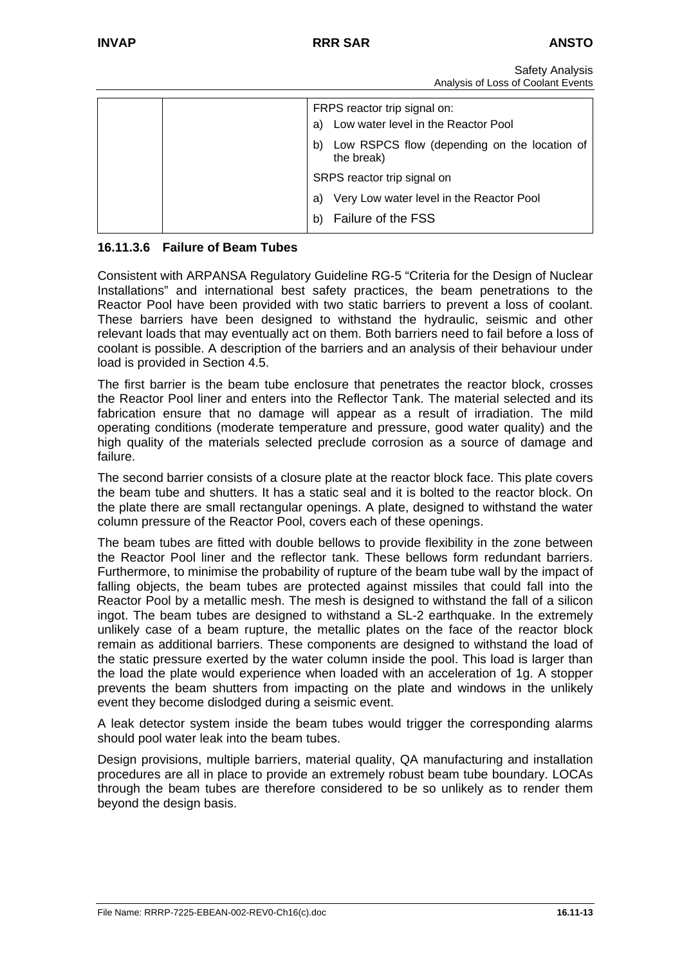| a) | FRPS reactor trip signal on:<br>Low water level in the Reactor Pool |
|----|---------------------------------------------------------------------|
| b) | Low RSPCS flow (depending on the location of<br>the break)          |
|    | SRPS reactor trip signal on                                         |
| a) | Very Low water level in the Reactor Pool                            |
| b) | Failure of the FSS                                                  |

# **16.11.3.6 Failure of Beam Tubes**

Consistent with ARPANSA Regulatory Guideline RG-5 "Criteria for the Design of Nuclear Installations" and international best safety practices, the beam penetrations to the Reactor Pool have been provided with two static barriers to prevent a loss of coolant. These barriers have been designed to withstand the hydraulic, seismic and other relevant loads that may eventually act on them. Both barriers need to fail before a loss of coolant is possible. A description of the barriers and an analysis of their behaviour under load is provided in Section 4.5.

The first barrier is the beam tube enclosure that penetrates the reactor block, crosses the Reactor Pool liner and enters into the Reflector Tank. The material selected and its fabrication ensure that no damage will appear as a result of irradiation. The mild operating conditions (moderate temperature and pressure, good water quality) and the high quality of the materials selected preclude corrosion as a source of damage and failure.

The second barrier consists of a closure plate at the reactor block face. This plate covers the beam tube and shutters. It has a static seal and it is bolted to the reactor block. On the plate there are small rectangular openings. A plate, designed to withstand the water column pressure of the Reactor Pool, covers each of these openings.

The beam tubes are fitted with double bellows to provide flexibility in the zone between the Reactor Pool liner and the reflector tank. These bellows form redundant barriers. Furthermore, to minimise the probability of rupture of the beam tube wall by the impact of falling objects, the beam tubes are protected against missiles that could fall into the Reactor Pool by a metallic mesh. The mesh is designed to withstand the fall of a silicon ingot. The beam tubes are designed to withstand a SL-2 earthquake. In the extremely unlikely case of a beam rupture, the metallic plates on the face of the reactor block remain as additional barriers. These components are designed to withstand the load of the static pressure exerted by the water column inside the pool. This load is larger than the load the plate would experience when loaded with an acceleration of 1g. A stopper prevents the beam shutters from impacting on the plate and windows in the unlikely event they become dislodged during a seismic event.

A leak detector system inside the beam tubes would trigger the corresponding alarms should pool water leak into the beam tubes.

Design provisions, multiple barriers, material quality, QA manufacturing and installation procedures are all in place to provide an extremely robust beam tube boundary. LOCAs through the beam tubes are therefore considered to be so unlikely as to render them beyond the design basis.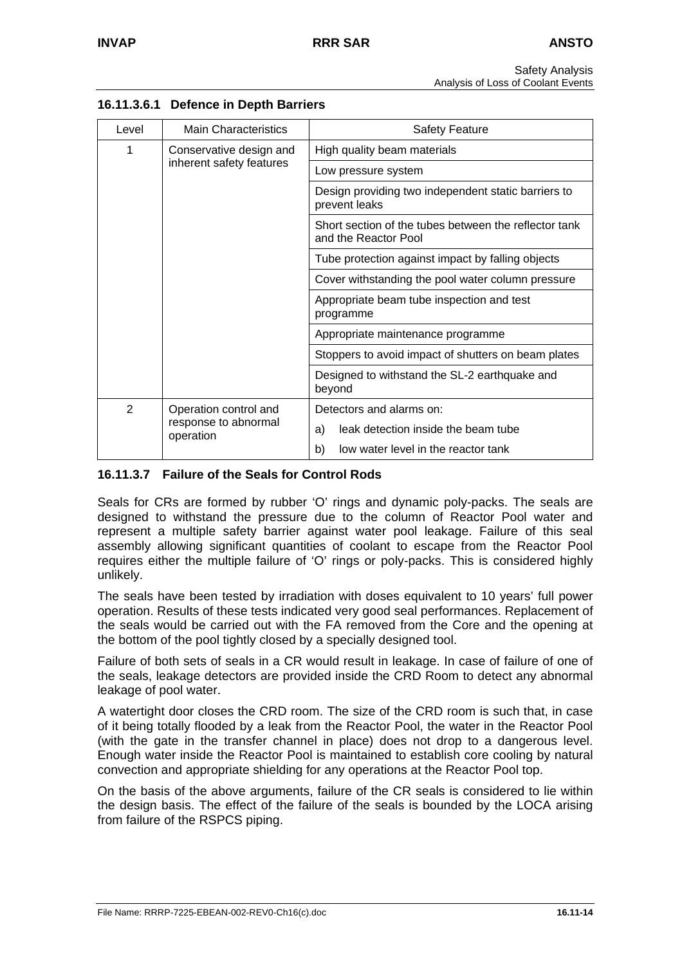| Level          | <b>Main Characteristics</b>                                | <b>Safety Feature</b>                                                         |  |  |  |  |
|----------------|------------------------------------------------------------|-------------------------------------------------------------------------------|--|--|--|--|
| 1              | Conservative design and                                    | High quality beam materials                                                   |  |  |  |  |
|                | inherent safety features                                   | Low pressure system                                                           |  |  |  |  |
|                |                                                            | Design providing two independent static barriers to<br>prevent leaks          |  |  |  |  |
|                |                                                            | Short section of the tubes between the reflector tank<br>and the Reactor Pool |  |  |  |  |
|                |                                                            | Tube protection against impact by falling objects                             |  |  |  |  |
|                |                                                            | Cover withstanding the pool water column pressure                             |  |  |  |  |
|                |                                                            | Appropriate beam tube inspection and test<br>programme                        |  |  |  |  |
|                |                                                            | Appropriate maintenance programme                                             |  |  |  |  |
|                |                                                            | Stoppers to avoid impact of shutters on beam plates                           |  |  |  |  |
|                |                                                            | Designed to withstand the SL-2 earthquake and<br>beyond                       |  |  |  |  |
| $\mathfrak{D}$ | Operation control and<br>response to abnormal<br>operation | Detectors and alarms on:                                                      |  |  |  |  |
|                |                                                            | leak detection inside the beam tube<br>a)                                     |  |  |  |  |
|                |                                                            | low water level in the reactor tank<br>b)                                     |  |  |  |  |

# **16.11.3.6.1 Defence in Depth Barriers**

# **16.11.3.7 Failure of the Seals for Control Rods**

Seals for CRs are formed by rubber 'O' rings and dynamic poly-packs. The seals are designed to withstand the pressure due to the column of Reactor Pool water and represent a multiple safety barrier against water pool leakage. Failure of this seal assembly allowing significant quantities of coolant to escape from the Reactor Pool requires either the multiple failure of 'O' rings or poly-packs. This is considered highly unlikely.

The seals have been tested by irradiation with doses equivalent to 10 years' full power operation. Results of these tests indicated very good seal performances. Replacement of the seals would be carried out with the FA removed from the Core and the opening at the bottom of the pool tightly closed by a specially designed tool.

Failure of both sets of seals in a CR would result in leakage. In case of failure of one of the seals, leakage detectors are provided inside the CRD Room to detect any abnormal leakage of pool water.

A watertight door closes the CRD room. The size of the CRD room is such that, in case of it being totally flooded by a leak from the Reactor Pool, the water in the Reactor Pool (with the gate in the transfer channel in place) does not drop to a dangerous level. Enough water inside the Reactor Pool is maintained to establish core cooling by natural convection and appropriate shielding for any operations at the Reactor Pool top.

On the basis of the above arguments, failure of the CR seals is considered to lie within the design basis. The effect of the failure of the seals is bounded by the LOCA arising from failure of the RSPCS piping.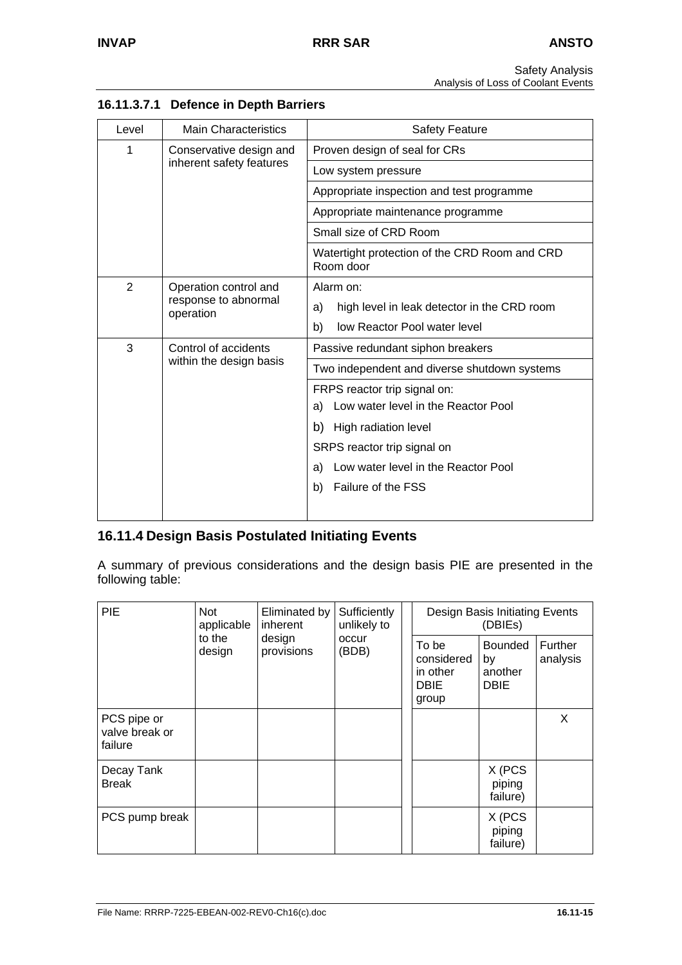| Level          | <b>Main Characteristics</b>                                | <b>Safety Feature</b>                                                    |  |  |  |  |
|----------------|------------------------------------------------------------|--------------------------------------------------------------------------|--|--|--|--|
| 1              | Conservative design and                                    | Proven design of seal for CRs                                            |  |  |  |  |
|                | inherent safety features                                   | Low system pressure                                                      |  |  |  |  |
|                |                                                            | Appropriate inspection and test programme                                |  |  |  |  |
|                |                                                            | Appropriate maintenance programme                                        |  |  |  |  |
|                |                                                            | Small size of CRD Room                                                   |  |  |  |  |
|                |                                                            | Watertight protection of the CRD Room and CRD<br>Room door               |  |  |  |  |
| $\overline{2}$ | Operation control and<br>response to abnormal<br>operation | Alarm on:                                                                |  |  |  |  |
|                |                                                            | high level in leak detector in the CRD room<br>a)                        |  |  |  |  |
|                |                                                            | low Reactor Pool water level<br>b)                                       |  |  |  |  |
| 3              | Control of accidents                                       | Passive redundant siphon breakers                                        |  |  |  |  |
|                | within the design basis                                    | Two independent and diverse shutdown systems                             |  |  |  |  |
|                |                                                            | FRPS reactor trip signal on:                                             |  |  |  |  |
|                |                                                            | Low water level in the Reactor Pool<br>a)                                |  |  |  |  |
|                |                                                            | b) High radiation level                                                  |  |  |  |  |
|                |                                                            | SRPS reactor trip signal on<br>Low water level in the Reactor Pool<br>a) |  |  |  |  |
|                |                                                            |                                                                          |  |  |  |  |
|                |                                                            | Failure of the FSS<br>b)                                                 |  |  |  |  |
|                |                                                            |                                                                          |  |  |  |  |

# **16.11.3.7.1 Defence in Depth Barriers**

# **16.11.4 Design Basis Postulated Initiating Events**

A summary of previous considerations and the design basis PIE are presented in the following table:

| <b>PIE</b>                               | Not<br>applicable | Eliminated by<br>inherent | Sufficiently<br>unlikely to | Design Basis Initiating Events<br>(DBIEs)               |                                                |                     |
|------------------------------------------|-------------------|---------------------------|-----------------------------|---------------------------------------------------------|------------------------------------------------|---------------------|
|                                          | to the<br>design  | design<br>provisions      | occur<br>(BDB)              | To be<br>considered<br>in other<br><b>DBIE</b><br>group | <b>Bounded</b><br>by<br>another<br><b>DBIE</b> | Further<br>analysis |
| PCS pipe or<br>valve break or<br>failure |                   |                           |                             |                                                         |                                                | X                   |
| Decay Tank<br><b>Break</b>               |                   |                           |                             |                                                         | X (PCS<br>piping<br>failure)                   |                     |
| PCS pump break                           |                   |                           |                             |                                                         | X (PCS<br>piping<br>failure)                   |                     |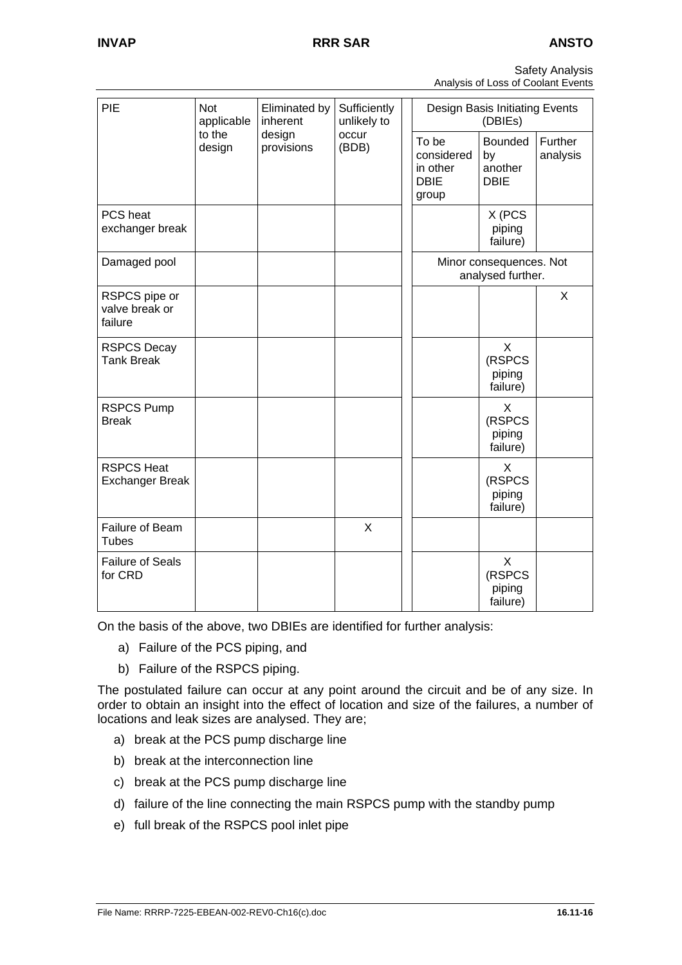| <b>Safety Analysis</b>             |  |
|------------------------------------|--|
| Analysis of Loss of Coolant Events |  |

| PIE                                         | <b>Not</b><br>applicable | Eliminated by<br>inherent | Sufficiently<br>unlikely to | Design Basis Initiating Events<br>(DBIEs)               |                                                |                     |  |  |
|---------------------------------------------|--------------------------|---------------------------|-----------------------------|---------------------------------------------------------|------------------------------------------------|---------------------|--|--|
|                                             | to the<br>design         | design<br>provisions      | occur<br>(BDB)              | To be<br>considered<br>in other<br><b>DBIE</b><br>group | <b>Bounded</b><br>by<br>another<br><b>DBIE</b> | Further<br>analysis |  |  |
| PCS heat<br>exchanger break                 |                          |                           |                             |                                                         | X (PCS<br>piping<br>failure)                   |                     |  |  |
| Damaged pool                                |                          |                           |                             | Minor consequences. Not<br>analysed further.            |                                                |                     |  |  |
| RSPCS pipe or<br>valve break or<br>failure  |                          |                           |                             |                                                         |                                                | X                   |  |  |
| <b>RSPCS Decay</b><br><b>Tank Break</b>     |                          |                           |                             |                                                         | X<br>(RSPCS<br>piping<br>failure)              |                     |  |  |
| <b>RSPCS Pump</b><br><b>Break</b>           |                          |                           |                             |                                                         | X<br>(RSPCS<br>piping<br>failure)              |                     |  |  |
| <b>RSPCS Heat</b><br><b>Exchanger Break</b> |                          |                           |                             |                                                         | X<br>(RSPCS<br>piping<br>failure)              |                     |  |  |
| Failure of Beam<br><b>Tubes</b>             |                          |                           | $\mathsf{X}$                |                                                         |                                                |                     |  |  |
| <b>Failure of Seals</b><br>for CRD          |                          |                           |                             |                                                         | X<br>(RSPCS<br>piping<br>failure)              |                     |  |  |

On the basis of the above, two DBIEs are identified for further analysis:

- a) Failure of the PCS piping, and
- b) Failure of the RSPCS piping.

The postulated failure can occur at any point around the circuit and be of any size. In order to obtain an insight into the effect of location and size of the failures, a number of locations and leak sizes are analysed. They are;

- a) break at the PCS pump discharge line
- b) break at the interconnection line
- c) break at the PCS pump discharge line
- d) failure of the line connecting the main RSPCS pump with the standby pump
- e) full break of the RSPCS pool inlet pipe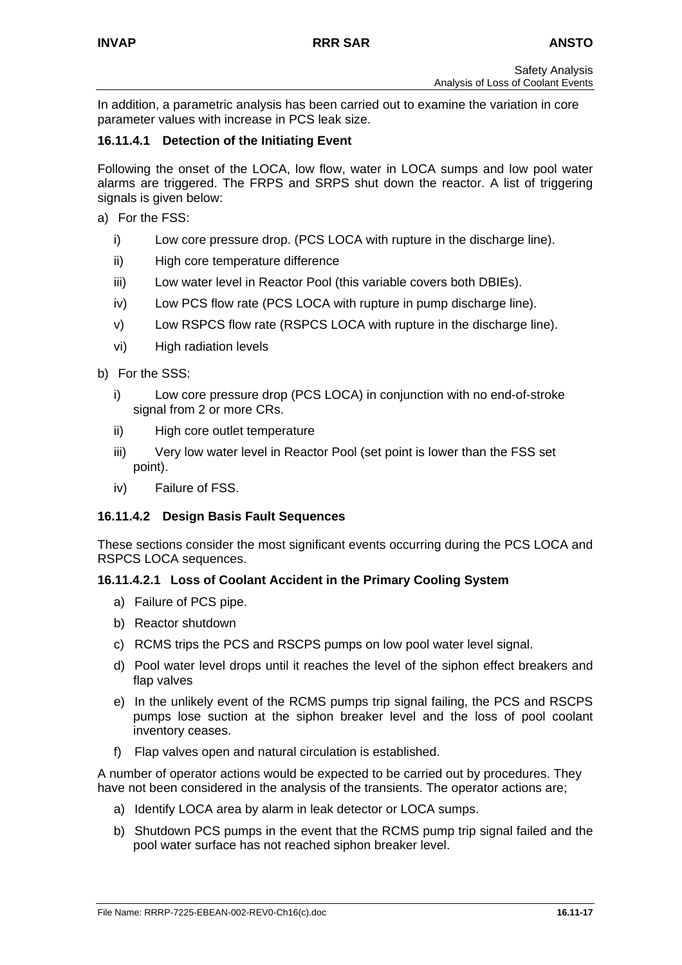In addition, a parametric analysis has been carried out to examine the variation in core parameter values with increase in PCS leak size.

### **16.11.4.1 Detection of the Initiating Event**

Following the onset of the LOCA, low flow, water in LOCA sumps and low pool water alarms are triggered. The FRPS and SRPS shut down the reactor. A list of triggering signals is given below:

- a) For the FSS:
	- i) Low core pressure drop. (PCS LOCA with rupture in the discharge line).
	- ii) High core temperature difference
	- iii) Low water level in Reactor Pool (this variable covers both DBIEs).
	- iv) Low PCS flow rate (PCS LOCA with rupture in pump discharge line).
	- v) Low RSPCS flow rate (RSPCS LOCA with rupture in the discharge line).
	- vi) High radiation levels
- b) For the SSS:
	- i) Low core pressure drop (PCS LOCA) in conjunction with no end-of-stroke signal from 2 or more CRs.
	- ii) High core outlet temperature
	- iii) Very low water level in Reactor Pool (set point is lower than the FSS set point).
	- iv) Failure of FSS.

#### **16.11.4.2 Design Basis Fault Sequences**

These sections consider the most significant events occurring during the PCS LOCA and RSPCS LOCA sequences.

#### **16.11.4.2.1 Loss of Coolant Accident in the Primary Cooling System**

- a) Failure of PCS pipe.
- b) Reactor shutdown
- c) RCMS trips the PCS and RSCPS pumps on low pool water level signal.
- d) Pool water level drops until it reaches the level of the siphon effect breakers and flap valves
- e) In the unlikely event of the RCMS pumps trip signal failing, the PCS and RSCPS pumps lose suction at the siphon breaker level and the loss of pool coolant inventory ceases.
- f) Flap valves open and natural circulation is established.

A number of operator actions would be expected to be carried out by procedures. They have not been considered in the analysis of the transients. The operator actions are;

- a) Identify LOCA area by alarm in leak detector or LOCA sumps.
- b) Shutdown PCS pumps in the event that the RCMS pump trip signal failed and the pool water surface has not reached siphon breaker level.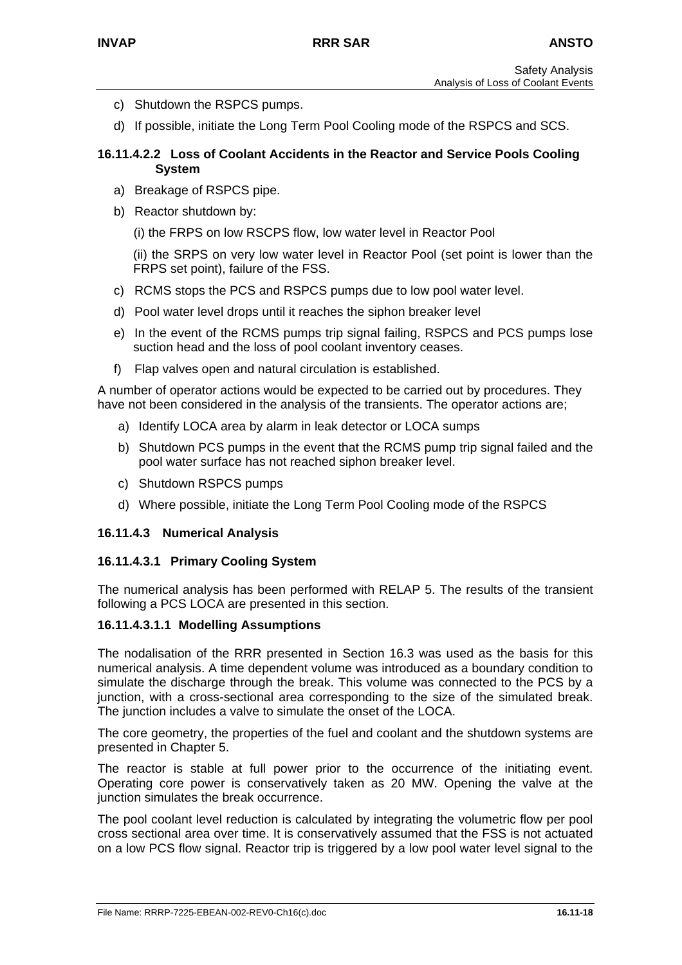- c) Shutdown the RSPCS pumps.
- d) If possible, initiate the Long Term Pool Cooling mode of the RSPCS and SCS.

#### **16.11.4.2.2 Loss of Coolant Accidents in the Reactor and Service Pools Cooling System**

- a) Breakage of RSPCS pipe.
- b) Reactor shutdown by:
	- (i) the FRPS on low RSCPS flow, low water level in Reactor Pool

(ii) the SRPS on very low water level in Reactor Pool (set point is lower than the FRPS set point), failure of the FSS.

- c) RCMS stops the PCS and RSPCS pumps due to low pool water level.
- d) Pool water level drops until it reaches the siphon breaker level
- e) In the event of the RCMS pumps trip signal failing, RSPCS and PCS pumps lose suction head and the loss of pool coolant inventory ceases.
- f) Flap valves open and natural circulation is established.

A number of operator actions would be expected to be carried out by procedures. They have not been considered in the analysis of the transients. The operator actions are;

- a) Identify LOCA area by alarm in leak detector or LOCA sumps
- b) Shutdown PCS pumps in the event that the RCMS pump trip signal failed and the pool water surface has not reached siphon breaker level.
- c) Shutdown RSPCS pumps
- d) Where possible, initiate the Long Term Pool Cooling mode of the RSPCS

#### **16.11.4.3 Numerical Analysis**

#### **16.11.4.3.1 Primary Cooling System**

The numerical analysis has been performed with RELAP 5. The results of the transient following a PCS LOCA are presented in this section.

#### **16.11.4.3.1.1 Modelling Assumptions**

The nodalisation of the RRR presented in Section 16.3 was used as the basis for this numerical analysis. A time dependent volume was introduced as a boundary condition to simulate the discharge through the break. This volume was connected to the PCS by a junction, with a cross-sectional area corresponding to the size of the simulated break. The junction includes a valve to simulate the onset of the LOCA.

The core geometry, the properties of the fuel and coolant and the shutdown systems are presented in Chapter 5.

The reactor is stable at full power prior to the occurrence of the initiating event. Operating core power is conservatively taken as 20 MW. Opening the valve at the junction simulates the break occurrence.

The pool coolant level reduction is calculated by integrating the volumetric flow per pool cross sectional area over time. It is conservatively assumed that the FSS is not actuated on a low PCS flow signal. Reactor trip is triggered by a low pool water level signal to the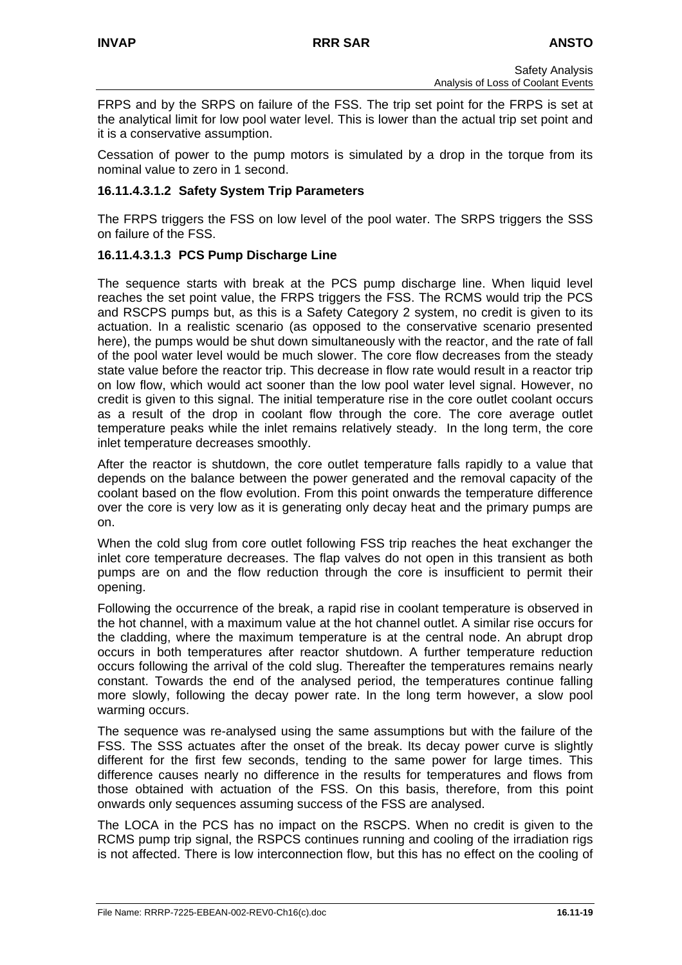FRPS and by the SRPS on failure of the FSS. The trip set point for the FRPS is set at the analytical limit for low pool water level. This is lower than the actual trip set point and it is a conservative assumption.

Cessation of power to the pump motors is simulated by a drop in the torque from its nominal value to zero in 1 second.

#### **16.11.4.3.1.2 Safety System Trip Parameters**

The FRPS triggers the FSS on low level of the pool water. The SRPS triggers the SSS on failure of the FSS.

### **16.11.4.3.1.3 PCS Pump Discharge Line**

The sequence starts with break at the PCS pump discharge line. When liquid level reaches the set point value, the FRPS triggers the FSS. The RCMS would trip the PCS and RSCPS pumps but, as this is a Safety Category 2 system, no credit is given to its actuation. In a realistic scenario (as opposed to the conservative scenario presented here), the pumps would be shut down simultaneously with the reactor, and the rate of fall of the pool water level would be much slower. The core flow decreases from the steady state value before the reactor trip. This decrease in flow rate would result in a reactor trip on low flow, which would act sooner than the low pool water level signal. However, no credit is given to this signal. The initial temperature rise in the core outlet coolant occurs as a result of the drop in coolant flow through the core. The core average outlet temperature peaks while the inlet remains relatively steady. In the long term, the core inlet temperature decreases smoothly.

After the reactor is shutdown, the core outlet temperature falls rapidly to a value that depends on the balance between the power generated and the removal capacity of the coolant based on the flow evolution. From this point onwards the temperature difference over the core is very low as it is generating only decay heat and the primary pumps are on.

When the cold slug from core outlet following FSS trip reaches the heat exchanger the inlet core temperature decreases. The flap valves do not open in this transient as both pumps are on and the flow reduction through the core is insufficient to permit their opening.

Following the occurrence of the break, a rapid rise in coolant temperature is observed in the hot channel, with a maximum value at the hot channel outlet. A similar rise occurs for the cladding, where the maximum temperature is at the central node. An abrupt drop occurs in both temperatures after reactor shutdown. A further temperature reduction occurs following the arrival of the cold slug. Thereafter the temperatures remains nearly constant. Towards the end of the analysed period, the temperatures continue falling more slowly, following the decay power rate. In the long term however, a slow pool warming occurs.

The sequence was re-analysed using the same assumptions but with the failure of the FSS. The SSS actuates after the onset of the break. Its decay power curve is slightly different for the first few seconds, tending to the same power for large times. This difference causes nearly no difference in the results for temperatures and flows from those obtained with actuation of the FSS. On this basis, therefore, from this point onwards only sequences assuming success of the FSS are analysed.

The LOCA in the PCS has no impact on the RSCPS. When no credit is given to the RCMS pump trip signal, the RSPCS continues running and cooling of the irradiation rigs is not affected. There is low interconnection flow, but this has no effect on the cooling of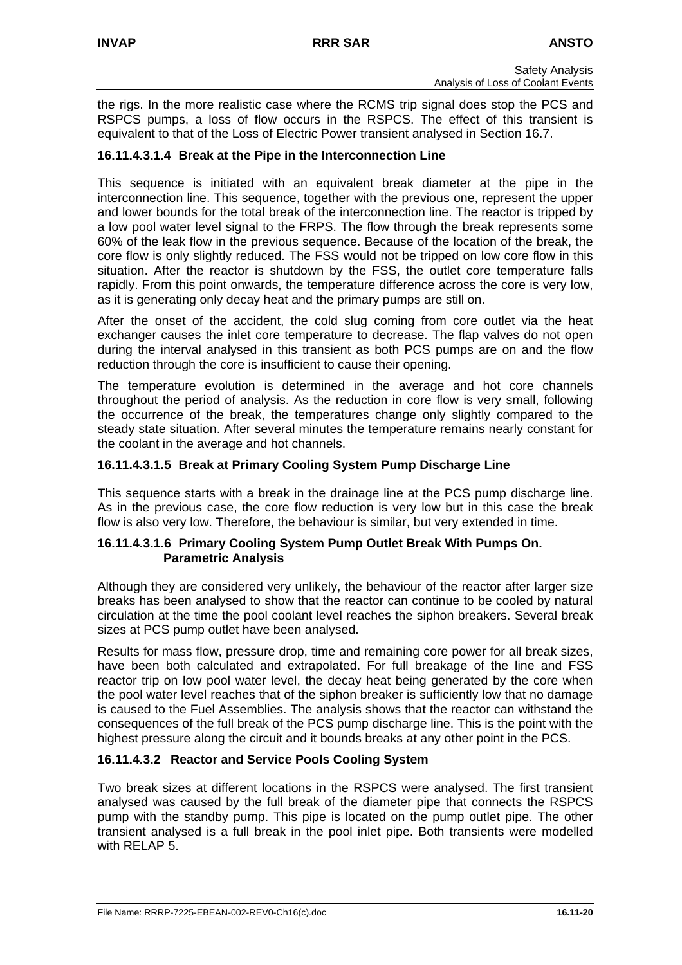the rigs. In the more realistic case where the RCMS trip signal does stop the PCS and RSPCS pumps, a loss of flow occurs in the RSPCS. The effect of this transient is equivalent to that of the Loss of Electric Power transient analysed in Section 16.7.

### **16.11.4.3.1.4 Break at the Pipe in the Interconnection Line**

This sequence is initiated with an equivalent break diameter at the pipe in the interconnection line. This sequence, together with the previous one, represent the upper and lower bounds for the total break of the interconnection line. The reactor is tripped by a low pool water level signal to the FRPS. The flow through the break represents some 60% of the leak flow in the previous sequence. Because of the location of the break, the core flow is only slightly reduced. The FSS would not be tripped on low core flow in this situation. After the reactor is shutdown by the FSS, the outlet core temperature falls rapidly. From this point onwards, the temperature difference across the core is very low, as it is generating only decay heat and the primary pumps are still on.

After the onset of the accident, the cold slug coming from core outlet via the heat exchanger causes the inlet core temperature to decrease. The flap valves do not open during the interval analysed in this transient as both PCS pumps are on and the flow reduction through the core is insufficient to cause their opening.

The temperature evolution is determined in the average and hot core channels throughout the period of analysis. As the reduction in core flow is very small, following the occurrence of the break, the temperatures change only slightly compared to the steady state situation. After several minutes the temperature remains nearly constant for the coolant in the average and hot channels.

### **16.11.4.3.1.5 Break at Primary Cooling System Pump Discharge Line**

This sequence starts with a break in the drainage line at the PCS pump discharge line. As in the previous case, the core flow reduction is very low but in this case the break flow is also very low. Therefore, the behaviour is similar, but very extended in time.

#### **16.11.4.3.1.6 Primary Cooling System Pump Outlet Break With Pumps On. Parametric Analysis**

Although they are considered very unlikely, the behaviour of the reactor after larger size breaks has been analysed to show that the reactor can continue to be cooled by natural circulation at the time the pool coolant level reaches the siphon breakers. Several break sizes at PCS pump outlet have been analysed.

Results for mass flow, pressure drop, time and remaining core power for all break sizes, have been both calculated and extrapolated. For full breakage of the line and FSS reactor trip on low pool water level, the decay heat being generated by the core when the pool water level reaches that of the siphon breaker is sufficiently low that no damage is caused to the Fuel Assemblies. The analysis shows that the reactor can withstand the consequences of the full break of the PCS pump discharge line. This is the point with the highest pressure along the circuit and it bounds breaks at any other point in the PCS.

# **16.11.4.3.2 Reactor and Service Pools Cooling System**

Two break sizes at different locations in the RSPCS were analysed. The first transient analysed was caused by the full break of the diameter pipe that connects the RSPCS pump with the standby pump. This pipe is located on the pump outlet pipe. The other transient analysed is a full break in the pool inlet pipe. Both transients were modelled with RELAP 5.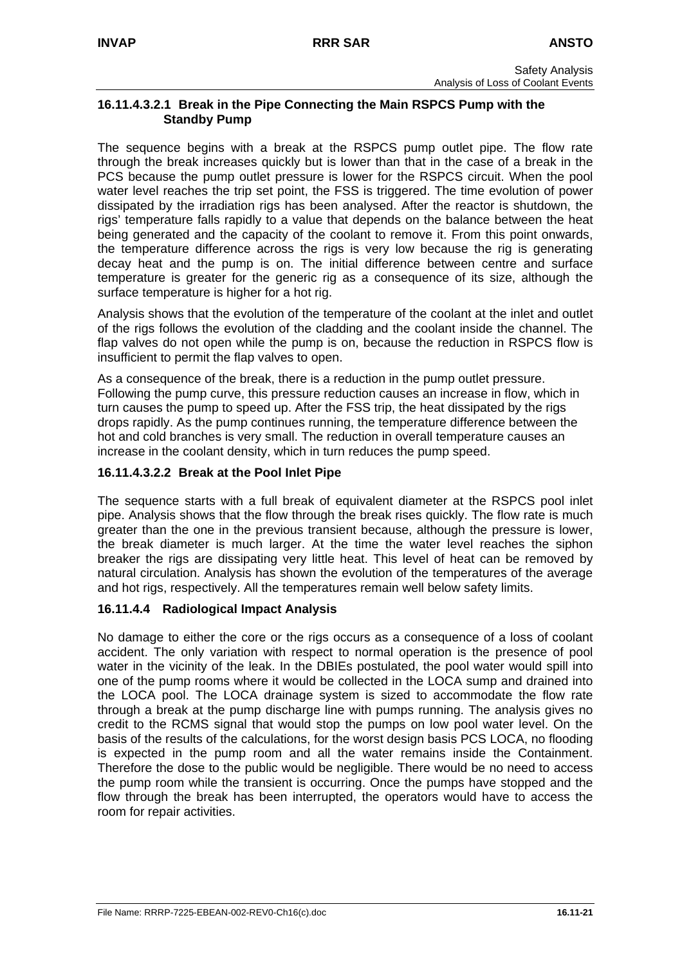## **16.11.4.3.2.1 Break in the Pipe Connecting the Main RSPCS Pump with the Standby Pump**

The sequence begins with a break at the RSPCS pump outlet pipe. The flow rate through the break increases quickly but is lower than that in the case of a break in the PCS because the pump outlet pressure is lower for the RSPCS circuit. When the pool water level reaches the trip set point, the FSS is triggered. The time evolution of power dissipated by the irradiation rigs has been analysed. After the reactor is shutdown, the rigs' temperature falls rapidly to a value that depends on the balance between the heat being generated and the capacity of the coolant to remove it. From this point onwards, the temperature difference across the rigs is very low because the rig is generating decay heat and the pump is on. The initial difference between centre and surface temperature is greater for the generic rig as a consequence of its size, although the surface temperature is higher for a hot rig.

Analysis shows that the evolution of the temperature of the coolant at the inlet and outlet of the rigs follows the evolution of the cladding and the coolant inside the channel. The flap valves do not open while the pump is on, because the reduction in RSPCS flow is insufficient to permit the flap valves to open.

As a consequence of the break, there is a reduction in the pump outlet pressure. Following the pump curve, this pressure reduction causes an increase in flow, which in turn causes the pump to speed up. After the FSS trip, the heat dissipated by the rigs drops rapidly. As the pump continues running, the temperature difference between the hot and cold branches is very small. The reduction in overall temperature causes an increase in the coolant density, which in turn reduces the pump speed.

# **16.11.4.3.2.2 Break at the Pool Inlet Pipe**

The sequence starts with a full break of equivalent diameter at the RSPCS pool inlet pipe. Analysis shows that the flow through the break rises quickly. The flow rate is much greater than the one in the previous transient because, although the pressure is lower, the break diameter is much larger. At the time the water level reaches the siphon breaker the rigs are dissipating very little heat. This level of heat can be removed by natural circulation. Analysis has shown the evolution of the temperatures of the average and hot rigs, respectively. All the temperatures remain well below safety limits.

# **16.11.4.4 Radiological Impact Analysis**

No damage to either the core or the rigs occurs as a consequence of a loss of coolant accident. The only variation with respect to normal operation is the presence of pool water in the vicinity of the leak. In the DBIEs postulated, the pool water would spill into one of the pump rooms where it would be collected in the LOCA sump and drained into the LOCA pool. The LOCA drainage system is sized to accommodate the flow rate through a break at the pump discharge line with pumps running. The analysis gives no credit to the RCMS signal that would stop the pumps on low pool water level. On the basis of the results of the calculations, for the worst design basis PCS LOCA, no flooding is expected in the pump room and all the water remains inside the Containment. Therefore the dose to the public would be negligible. There would be no need to access the pump room while the transient is occurring. Once the pumps have stopped and the flow through the break has been interrupted, the operators would have to access the room for repair activities.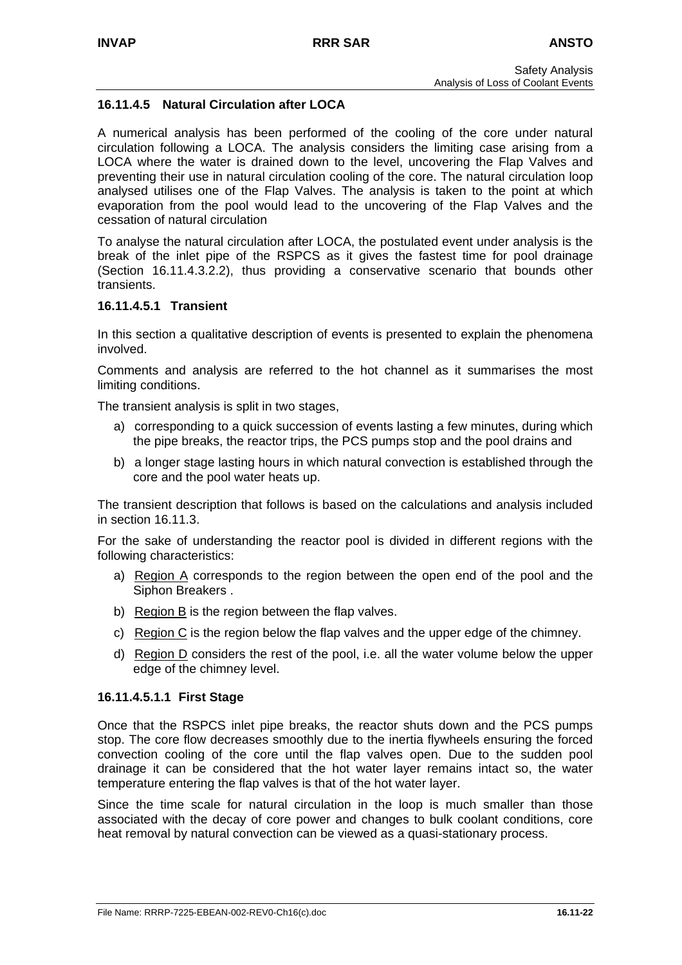## **16.11.4.5 Natural Circulation after LOCA**

A numerical analysis has been performed of the cooling of the core under natural circulation following a LOCA. The analysis considers the limiting case arising from a LOCA where the water is drained down to the level, uncovering the Flap Valves and preventing their use in natural circulation cooling of the core. The natural circulation loop analysed utilises one of the Flap Valves. The analysis is taken to the point at which evaporation from the pool would lead to the uncovering of the Flap Valves and the cessation of natural circulation

To analyse the natural circulation after LOCA, the postulated event under analysis is the break of the inlet pipe of the RSPCS as it gives the fastest time for pool drainage (Section 16.11.4.3.2.2), thus providing a conservative scenario that bounds other transients.

#### **16.11.4.5.1 Transient**

In this section a qualitative description of events is presented to explain the phenomena involved.

Comments and analysis are referred to the hot channel as it summarises the most limiting conditions.

The transient analysis is split in two stages,

- a) corresponding to a quick succession of events lasting a few minutes, during which the pipe breaks, the reactor trips, the PCS pumps stop and the pool drains and
- b) a longer stage lasting hours in which natural convection is established through the core and the pool water heats up.

The transient description that follows is based on the calculations and analysis included in section 16.11.3.

For the sake of understanding the reactor pool is divided in different regions with the following characteristics:

- a) Region A corresponds to the region between the open end of the pool and the Siphon Breakers .
- b) Region B is the region between the flap valves.
- c) Region C is the region below the flap valves and the upper edge of the chimney.
- d) Region  $D$  considers the rest of the pool, i.e. all the water volume below the upper edge of the chimney level.

#### **16.11.4.5.1.1 First Stage**

Once that the RSPCS inlet pipe breaks, the reactor shuts down and the PCS pumps stop. The core flow decreases smoothly due to the inertia flywheels ensuring the forced convection cooling of the core until the flap valves open. Due to the sudden pool drainage it can be considered that the hot water layer remains intact so, the water temperature entering the flap valves is that of the hot water layer.

Since the time scale for natural circulation in the loop is much smaller than those associated with the decay of core power and changes to bulk coolant conditions, core heat removal by natural convection can be viewed as a quasi-stationary process.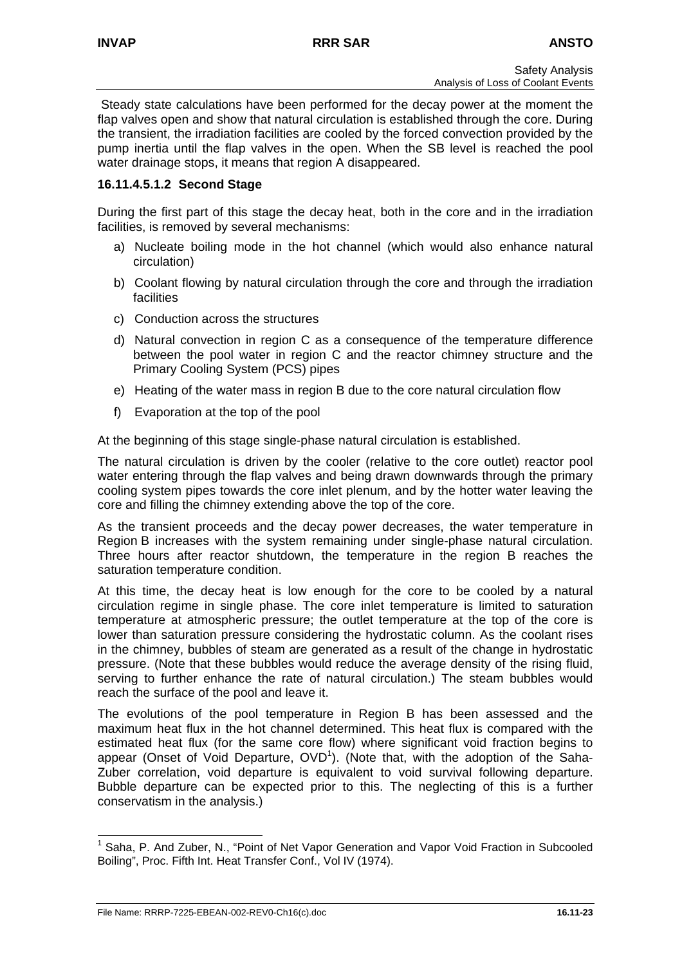Steady state calculations have been performed for the decay power at the moment the flap valves open and show that natural circulation is established through the core. During the transient, the irradiation facilities are cooled by the forced convection provided by the pump inertia until the flap valves in the open. When the SB level is reached the pool water drainage stops, it means that region A disappeared.

## **16.11.4.5.1.2 Second Stage**

During the first part of this stage the decay heat, both in the core and in the irradiation facilities, is removed by several mechanisms:

- a) Nucleate boiling mode in the hot channel (which would also enhance natural circulation)
- b) Coolant flowing by natural circulation through the core and through the irradiation facilities
- c) Conduction across the structures
- d) Natural convection in region C as a consequence of the temperature difference between the pool water in region C and the reactor chimney structure and the Primary Cooling System (PCS) pipes
- e) Heating of the water mass in region B due to the core natural circulation flow
- f) Evaporation at the top of the pool

At the beginning of this stage single-phase natural circulation is established.

The natural circulation is driven by the cooler (relative to the core outlet) reactor pool water entering through the flap valves and being drawn downwards through the primary cooling system pipes towards the core inlet plenum, and by the hotter water leaving the core and filling the chimney extending above the top of the core.

As the transient proceeds and the decay power decreases, the water temperature in Region B increases with the system remaining under single-phase natural circulation. Three hours after reactor shutdown, the temperature in the region B reaches the saturation temperature condition.

At this time, the decay heat is low enough for the core to be cooled by a natural circulation regime in single phase. The core inlet temperature is limited to saturation temperature at atmospheric pressure; the outlet temperature at the top of the core is lower than saturation pressure considering the hydrostatic column. As the coolant rises in the chimney, bubbles of steam are generated as a result of the change in hydrostatic pressure. (Note that these bubbles would reduce the average density of the rising fluid, serving to further enhance the rate of natural circulation.) The steam bubbles would reach the surface of the pool and leave it.

The evolutions of the pool temperature in Region B has been assessed and the maximum heat flux in the hot channel determined. This heat flux is compared with the estimated heat flux (for the same core flow) where significant void fraction begins to appear (Onset of Void Departure,  $OVD<sup>1</sup>$ [\)](#page-22-0). (Note that, with the adoption of the Saha-Zuber correlation, void departure is equivalent to void survival following departure. Bubble departure can be expected prior to this. The neglecting of this is a further conservatism in the analysis.)

<span id="page-22-0"></span> $\frac{1}{1}$  Saha, P. And Zuber, N., "Point of Net Vapor Generation and Vapor Void Fraction in Subcooled Boiling", Proc. Fifth Int. Heat Transfer Conf., Vol IV (1974).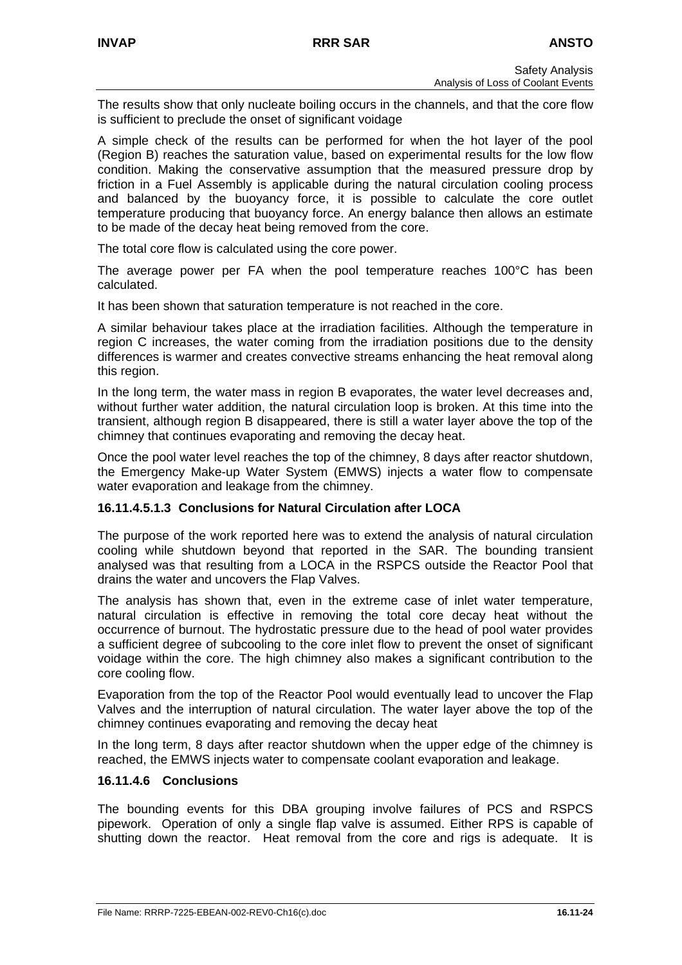The results show that only nucleate boiling occurs in the channels, and that the core flow is sufficient to preclude the onset of significant voidage

A simple check of the results can be performed for when the hot layer of the pool (Region B) reaches the saturation value, based on experimental results for the low flow condition. Making the conservative assumption that the measured pressure drop by friction in a Fuel Assembly is applicable during the natural circulation cooling process and balanced by the buoyancy force, it is possible to calculate the core outlet temperature producing that buoyancy force. An energy balance then allows an estimate to be made of the decay heat being removed from the core.

The total core flow is calculated using the core power.

The average power per FA when the pool temperature reaches 100°C has been calculated.

It has been shown that saturation temperature is not reached in the core.

A similar behaviour takes place at the irradiation facilities. Although the temperature in region C increases, the water coming from the irradiation positions due to the density differences is warmer and creates convective streams enhancing the heat removal along this region.

In the long term, the water mass in region B evaporates, the water level decreases and, without further water addition, the natural circulation loop is broken. At this time into the transient, although region B disappeared, there is still a water layer above the top of the chimney that continues evaporating and removing the decay heat.

Once the pool water level reaches the top of the chimney, 8 days after reactor shutdown, the Emergency Make-up Water System (EMWS) injects a water flow to compensate water evaporation and leakage from the chimney.

#### **16.11.4.5.1.3 Conclusions for Natural Circulation after LOCA**

The purpose of the work reported here was to extend the analysis of natural circulation cooling while shutdown beyond that reported in the SAR. The bounding transient analysed was that resulting from a LOCA in the RSPCS outside the Reactor Pool that drains the water and uncovers the Flap Valves.

The analysis has shown that, even in the extreme case of inlet water temperature, natural circulation is effective in removing the total core decay heat without the occurrence of burnout. The hydrostatic pressure due to the head of pool water provides a sufficient degree of subcooling to the core inlet flow to prevent the onset of significant voidage within the core. The high chimney also makes a significant contribution to the core cooling flow.

Evaporation from the top of the Reactor Pool would eventually lead to uncover the Flap Valves and the interruption of natural circulation. The water layer above the top of the chimney continues evaporating and removing the decay heat

In the long term, 8 days after reactor shutdown when the upper edge of the chimney is reached, the EMWS injects water to compensate coolant evaporation and leakage.

# **16.11.4.6 Conclusions**

The bounding events for this DBA grouping involve failures of PCS and RSPCS pipework. Operation of only a single flap valve is assumed. Either RPS is capable of shutting down the reactor. Heat removal from the core and rigs is adequate. It is